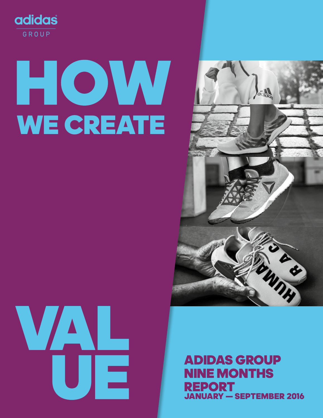

# HOW WE CREATE





### ADIDAS GROUP NINE MONTHS REPORT JANUARY — SEPTEMBER 2016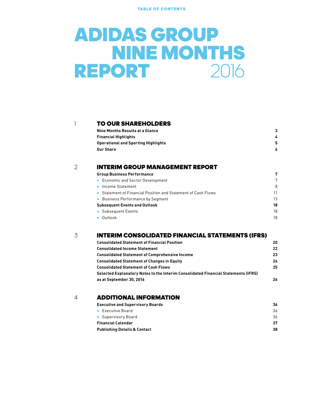TABLE OF CONTENTS

### ADIDAS GROUP **NINE MONTHS** REPORT 2016

#### **[TO OUR SHAREHOLDERS](#page-2-0)**

| 3. |
|----|
|    |
|    |
|    |
|    |

#### 2

#### [INTERIM GROUP MANAGEMENT REPORT](#page-6-0)

| <b>Group Business Performance</b>                             | 7  |
|---------------------------------------------------------------|----|
| • Economic and Sector Development                             | 7  |
| • Income Statement                                            | 8  |
| • Statement of Financial Position and Statement of Cash Flows | 11 |
| • Business Performance by Segment                             | 13 |
| <b>Subsequent Events and Outlook</b>                          | 18 |
| • Subsequent Events                                           | 18 |
| $\bullet$ Outlook                                             | 18 |
|                                                               |    |

#### [INTERIM CONSOLIDATED FINANCIAL STATEMENTS \(IFRS\)](#page-19-0) 3

| <b>Consolidated Statement of Financial Position</b>                                | 20 |
|------------------------------------------------------------------------------------|----|
| <b>Consolidated Income Statement</b>                                               | 22 |
| <b>Consolidated Statement of Comprehensive Income</b>                              | 23 |
| <b>Consolidated Statement of Changes in Equity</b>                                 | 24 |
| <b>Consolidated Statement of Cash Flows</b>                                        | 25 |
| Selected Explanatory Notes to the Interim Consolidated Financial Statements (IFRS) |    |
| as at September 30, 2016                                                           | 26 |
|                                                                                    |    |

#### 4 **[ADDITIONAL INFORMATION](#page-35-0)**

| <b>Executive and Supervisory Boards</b> | 36 |
|-----------------------------------------|----|
| • Executive Board                       | 36 |
| • Supervisory Board                     | 36 |
| <b>Financial Calendar</b>               | 37 |
| <b>Publishing Details &amp; Contact</b> | 38 |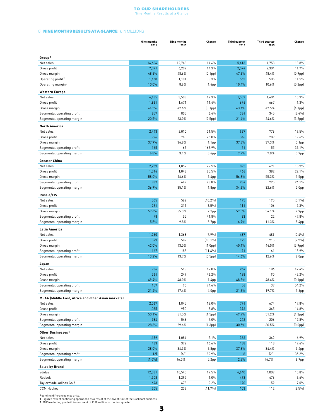#### To Our Shareholders Nine Months Results at a Glance

#### <span id="page-2-0"></span>01 **NINE MONTHS RESULTS AT A GLANCE** € IN MILLIONS

|                                                           | Nine months<br>2016 | Nine months<br>2015 | Change                      | Third quarter<br>2016 | Third quarter<br>2015 | Change               |
|-----------------------------------------------------------|---------------------|---------------------|-----------------------------|-----------------------|-----------------------|----------------------|
| Group <sup>1</sup>                                        |                     |                     |                             |                       |                       |                      |
| Net sales                                                 | 14,604              | 12,748              | 14.6%                       | 5,413                 | 4,758                 | 13.8%                |
| Gross profit                                              | 7,091               | 6,202               | 14.3%                       | 2,574                 | 2,304                 | 11.7%                |
| Gross margin                                              | 48.6%               | 48.6%               | (0.1 <sub>pp</sub> )        | 47.6%                 | 48.4%                 | (0.9 <sub>pp</sub> ) |
| Operating profit <sup>2</sup>                             | 1,468               | 1,101               | 33.3%                       | 563                   | 505                   | 11.5%                |
| Operating margin <sup>2</sup>                             | 10.0%               | 8.6%                | 1.4 <sub>pp</sub>           | 10.4%                 | 10.6%                 | (0.2 <sub>pp</sub> ) |
| <b>Western Europe</b>                                     |                     |                     |                             |                       |                       |                      |
| Net sales                                                 | 4,185               | 3,508               | 19.3%                       | 1,557                 | 1,404                 | 10.9%                |
| Gross profit                                              | 1,861               | 1,671               | 11.4%                       | 676                   | 667                   | 1.3%                 |
| Gross margin                                              | 44.5%               | 47.6%               | (3.1 <sub>pp</sub> )        | 43.4%                 | 47.5%                 | (4.1 <sub>pp</sub> ) |
| Segmental operating profit                                | 857                 | 805                 | 6.4%                        | 334                   | 345                   | (3.4%                |
| Segmental operating margin                                | 20.5%               | 23.0%               | (2.5pp)                     | 21.4%                 | 24.6%                 | (3.2pp)              |
|                                                           |                     |                     |                             |                       |                       |                      |
| <b>North America</b>                                      |                     |                     |                             |                       |                       |                      |
| Net sales                                                 | 2,443               | 2,010               | 21.5%                       | 927                   | 776                   | 19.5%                |
| Gross profit                                              | 926<br>37.9%        | 740                 | 25.0%                       | 346                   | 289                   | 19.6%                |
| Gross margin<br>Segmental operating profit                | 165                 | 36.8%<br>63         | 1.1 <sub>pp</sub><br>163.9% | 37.3%<br>71           | 37.3%<br>55           | $0.1$ pp<br>31.1%    |
|                                                           | 6.8%                | 3.1%                | 3.6 <sub>pp</sub>           | 7.7%                  | 7.0%                  | 0.7 <sub>pp</sub>    |
| Segmental operating margin                                |                     |                     |                             |                       |                       |                      |
| <b>Greater China</b>                                      |                     |                     |                             |                       |                       |                      |
| Net sales                                                 | 2,269               | 1,852               | 22.5%                       | 822                   | 691                   | 18.9%                |
| Gross profit                                              | 1,316               | 1,048               | 25.5%                       | 466                   | 382                   | 22.1%                |
| Gross margin                                              | 58.0%               | 56.6%               | 1.4pp                       | 56.8%                 | 55.3%                 | 1.5 <sub>pp</sub>    |
| Segmental operating profit                                | 837                 | 649                 | 28.8%                       | 284                   | 225                   | 26.1%                |
| Segmental operating margin                                | 36.9%               | 35.1%               | 1.8 <sub>pp</sub>           | 34.6%                 | 32.6%                 | 2.0 <sub>pp</sub>    |
| Russia/CIS                                                |                     |                     |                             |                       |                       |                      |
| Net sales                                                 | 505                 | 562                 | $(10.2\%)$                  | 195                   | 195                   | $(0.1\%)$            |
| Gross profit                                              | 291                 | 311                 | $(6.5\%)$                   | 111                   | 106                   | 5.3%                 |
| Gross margin                                              | 57.6%               | 55.3%               | 2.2 <sub>pp</sub>           | 57.0%                 | 54.1%                 | 2.9 <sub>pp</sub>    |
| Segmental operating profit                                | 78                  | 55                  | 41.8%                       | 33                    | 22                    | 47.8%                |
| Segmental operating margin                                | 15.5%               | 9.8%                | 5.7pp                       | 16.7%                 | 11.3%                 | 5.4pp                |
| <b>Latin America</b>                                      |                     |                     |                             |                       |                       |                      |
| Net sales                                                 | 1,260               | 1,368               | (7.9%                       | 487                   | 489                   | (0.4%                |
| Gross profit                                              | 529                 | 589                 | $(10.1\%)$                  | 195                   | 215                   | (9.2%                |
| Gross margin                                              | 42.0%               | 43.0%               | (1.0 <sub>pp</sub> )        | 40.1%                 | 44.0%                 | (3.9 <sub>pp</sub> ) |
| Segmental operating profit                                | 167                 | 188                 | $(11.4\%)$                  | 71                    | 61                    | 15.9%                |
| Segmental operating margin                                | 13.2%               | 13.7%               | (0.5 <sub>pp</sub> )        | 14.6%                 | 12.6%                 | 2.0 <sub>pp</sub>    |
| Japan                                                     |                     |                     |                             |                       |                       |                      |
| Net sales                                                 | 736                 | 518                 | 42.0%                       | 264                   | 186                   | 42.4%                |
| Gross profit                                              | 364                 | 249                 | 46.2%                       | 128                   | 90                    | 42.2%                |
| Gross margin                                              | 49.4%               | 48.0%               | 1.4 <sub>pp</sub>           | 48.3%                 | 48.4%                 | $(0.1$ pp $)$        |
| Segmental operating profit                                | 157                 | 90                  | 74.6%                       | 56                    | 37                    | 54.2%                |
| Segmental operating margin                                | 21.4%               | 17.4%               | 4.0pp                       | 21.3%                 | 19.7%                 | 1.6 <sub>pp</sub>    |
| <b>MEAA (Middle East, Africa and other Asian markets)</b> |                     |                     |                             |                       |                       |                      |
| Net sales                                                 | 2,067               | 1,845               | 12.0%                       | 794                   | 674                   | 17.8%                |
| Gross profit                                              | 1,035               | 950                 | 8.8%                        | 396                   | 345                   | 14.8%                |
| Gross margin                                              | 50.1%               | 51.5%               | (1.5pp)                     | 49.9%                 | 51.2%                 | (1.3 <sub>pp</sub> ) |
| Segmental operating profit                                | 584                 | 546                 | 7.0%                        | 242                   | 206                   | 17.8%                |
| Segmental operating margin                                | 28.3%               | 29.6%               | (1.3 <sub>pp</sub> )        | 30.5%                 | 30.5%                 | (0.0 <sub>pp</sub> ) |
|                                                           |                     |                     |                             |                       |                       |                      |
| Other Businesses <sup>1</sup>                             |                     |                     |                             |                       |                       |                      |
| Net sales                                                 | 1,139               | 1,084               | 5.1%                        | 366                   | 342                   | 6.9%                 |
| Gross profit                                              | 433                 | 372                 | 16.6%                       | 138                   | 118                   | 17.6%                |
| Gross margin                                              | 38.0%               | 34.3%               | 3.8 <sub>pp</sub>           | 37.8%<br>8            | 34.4%<br>[23]         | 3.4 <sub>pp</sub>    |
| Segmental operating profit                                | (12)<br>$(1.0\%)$   | (68)                | 82.9%                       |                       |                       | 135.2%               |
| Segmental operating margin                                |                     | (6.3%)              | 5.2 <sub>pp</sub>           | 2.2%                  | (6.7%                 | 8.9 <sub>pp</sub>    |
| <b>Sales by Brand</b>                                     |                     |                     |                             |                       |                       |                      |
| adidas                                                    | 12,381              | 10,540              | 17.5%                       | 4,640                 | 4,007                 | 15.8%                |
| Reebok                                                    | 1,308               | 1,295               | 1.0%                        | 493                   | 476                   | 3.6%                 |
| TaylorMade-adidas Golf                                    | 693                 | 678                 | 2.2%                        | 170                   | 159                   | 7.0%                 |
| <b>CCM Hockey</b>                                         | 205                 | 232                 | (11.7%                      | 103                   | 112                   | $(8.5\%)$            |

Rounding differences may arise.<br>1 Figures reflect continuing operations as a result of the divestiture of the Rockport business.<br>2 2015 excluding goodwill impairment of € 18 million in the first quarter.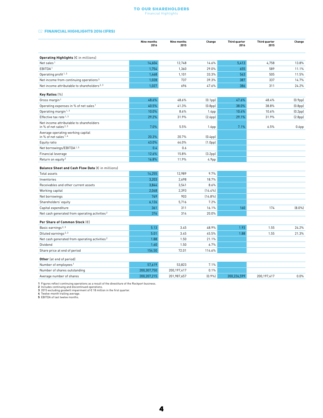#### To Our Shareholders Financial Highlights

#### <span id="page-3-0"></span>02 FINANCIAL HIGHLIGHTS 2016 (IFRS)

|                                                                   | Nine months<br>2016 | Nine months<br>2015 | Change               | Third quarter<br>2016 | Third quarter<br>2015 | Change               |
|-------------------------------------------------------------------|---------------------|---------------------|----------------------|-----------------------|-----------------------|----------------------|
| Operating Highlights $(\epsilon$ in millions)                     |                     |                     |                      |                       |                       |                      |
| Net sales <sup>1</sup>                                            | 14,604              | 12,748              | 14.6%                | 5,413                 | 4,758                 | 13.8%                |
| EBITDA <sup>1</sup>                                               | 1,754               | 1,360               | 29.0%                | 655                   | 589                   | 11.1%                |
| Operating profit <sup>1,3</sup>                                   | 1,468               | 1,101               | 33.3%                | 563                   | 505                   | 11.5%                |
| Net income from continuing operations <sup>3</sup>                | 1,028               | 737                 | 39.3%                | 387                   | 337                   | 14.7%                |
| Net income attributable to shareholders <sup>2, 3</sup>           | 1,027               | 696                 | 47.6%                | 386                   | 311                   | 24.2%                |
| Key Ratios (%)                                                    |                     |                     |                      |                       |                       |                      |
| Gross margin <sup>1</sup>                                         | 48.6%               | 48.6%               | [0.1 <sub>pp</sub> ] | 47.6%                 | 48.4%                 | (0.9 <sub>pp</sub> ) |
| Operating expenses in % of net sales <sup>1</sup>                 | 40.5%               | 41.3%               | (0.8 <sub>pp</sub> ) | 38.0%                 | 38.8%                 | (0.8 <sub>pp</sub> ) |
| Operating margin <sup>1, 3</sup>                                  | 10.0%               | 8.6%                | 1.4 <sub>pp</sub>    | 10.4%                 | 10.6%                 | (0.2 <sub>pp</sub> ) |
| Effective tax rate <sup>1,3</sup>                                 | 29.2%               | 31.9%               | (2.6 <sub>pp</sub> ) | 29.1%                 | 31.9%                 | (2.8 <sub>pp</sub> ) |
| Net income attributable to shareholders<br>in % of net sales 2, 3 | 7.0%                | 5.5%                | 1.6 <sub>pp</sub>    | 7.1%                  | 6.5%                  | 0.6 <sub>pp</sub>    |
| Average operating working capital<br>in % of net sales 1.4        | 20.3%               | 20.7%               | (0.4 <sub>pp</sub> ) |                       |                       |                      |
| Equity ratio                                                      | 43.0%               | 44.0%               | (1.0 <sub>pp</sub> ) |                       |                       |                      |
| Net borrowings/EBITDA <sup>1,5</sup>                              | 0.4                 | 0.6                 |                      |                       |                       |                      |
| Financial leverage                                                | 12.6%               | 15.8%               | (3.2 <sub>pp</sub> ) |                       |                       |                      |
| Return on equity <sup>2</sup>                                     | 16.8%               | 11.9%               | 4.9pp                |                       |                       |                      |
| Balance Sheet and Cash Flow Data (€ in millions)                  |                     |                     |                      |                       |                       |                      |
| Total assets                                                      | 14,255              | 12,989              | 9.7%                 |                       |                       |                      |
| Inventories                                                       | 3,203               | 2,698               | 18.7%                |                       |                       |                      |
| Receivables and other current assets                              | 3,844               | 3,541               | 8.6%                 |                       |                       |                      |
| Working capital                                                   | 2,048               | 2,393               | $(14.4\%)$           |                       |                       |                      |
| Net borrowings                                                    | 769                 | 903                 | $(14.8\%)$           |                       |                       |                      |
| Shareholders' equity                                              | 6,126               | 5,716               | 7.2%                 |                       |                       |                      |
| Capital expenditure                                               | 361                 | 311                 | 16.1%                | 160                   | 174                   | $(8.0\%)$            |
| Net cash generated from operating activities <sup>2</sup>         | 376                 | 314                 | 20.0%                |                       |                       |                      |
| Per Share of Common Stock (€)                                     |                     |                     |                      |                       |                       |                      |
| Basic earnings <sup>2, 3</sup>                                    | 5.13                | 3.45                | 48.9%                | 1.93                  | 1.55                  | 24.2%                |
| Diluted earnings <sup>2, 3</sup>                                  | 5.01                | 3.45                | 45.5%                | 1.88                  | 1.55                  | 21.3%                |
| Net cash generated from operating activities <sup>2</sup>         | 1.88                | 1.50                | 21.1%                |                       |                       |                      |
| Dividend                                                          | 1.60                | 1.50                | 6.7%                 |                       |                       |                      |
| Share price at end of period                                      | 154.50              | 72.01               | 114.6%               |                       |                       |                      |
| Other (at end of period)                                          |                     |                     |                      |                       |                       |                      |
| Number of employees <sup>1</sup>                                  | 57,619              | 53,823              | 7.1%                 |                       |                       |                      |
| Number of shares outstanding                                      | 200,307,750         | 200,197,417         | 0.1%                 |                       |                       |                      |
| Average number of shares                                          | 200,207,215         | 201,987,657         | (0.9%                | 200,226,599           | 200,197,417           | 0.0%                 |

1 Figures reflect continuing operations as a result of the divestiture of the Rockport business.<br>2 Includes continuing and discontinued operations.<br>3 2015 excluding goodwill impairment of € 18 million in the first quarter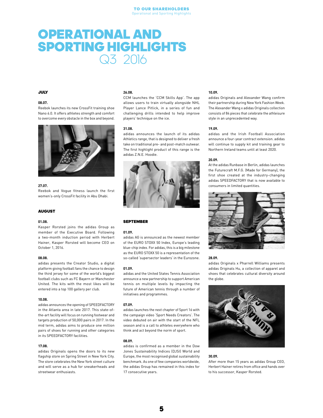### <span id="page-4-0"></span>OPERATIONAL AND SPORTING HIGHLIGHTS Q3 2016

#### JULY

#### 08.07.

Reebok launches its new CrossFit training shoe Nano 6.0. It offers athletes strength and comfort to overcome every obstacle in the box and beyond.



#### 27.07.

Reebok and Vogue fitness launch the first women's-only CrossFit facility in Abu Dhabi.

#### AUGUST

#### 01.08.

Kasper Rorsted joins the adidas Group as member of the Executive Board. Following a two-month induction period with Herbert Hainer, Kasper Rorsted will become CEO on October 1, 2016.

#### 08.08.

adidas presents the Creator Studio, a digital platform giving football fans the chance to design the third jersey for some of the world's biggest football clubs such as FC Bayern or Manchester United. The kits with the most likes will be entered into a top 100 gallery per club.

#### 10.08.

adidas announces the opening of SPEEDFACTORY in the Atlanta area in late 2017. This state-ofthe-art facility will focus on running footwear and targets production of 50,000 pairs in 2017. In the mid term, adidas aims to produce one million pairs of shoes for running and other categories in its SPEEDFACTORY facilities.

#### 17.08.

adidas Originals opens the doors to its new flagship store on Spring Street in New York City. The store celebrates the New York street culture and will serve as a hub for sneakerheads and streetwear enthusiasts.

#### 26.08.

CCM launches the 'CCM Skills App'. The app allows users to train virtually alongside NHL Player Lance Pitlick, in a series of fun and challenging drills intended to help improve players' technique on the ice.

#### 31.08.

adidas announces the launch of its adidas Athletics range, that is designed to deliver a fresh take on traditional pre- and post-match outwear. The first highlight product of this range is the adidas Z.N.E. Hoodie.



#### SEPTEMBER

#### 01.09.

adidas AG is announced as the newest member of the EURO STOXX 50 Index, Europe's leading blue-chip index. For adidas, this is a big milestone as the EURO STOXX 50 is a representation of the so-called 'supersector leaders' in the Eurozone.

#### 01.09.

adidas and the United States Tennis Association announce a new partnership to support American tennis on multiple levels by impacting the future of American tennis through a number of initiatives and programmes.

#### 07.09.

adidas launches the next chapter of Sport 16 with the campaign video 'Sport Needs Creators'. The video debuted on air with the start of the NFL season and is a call to athletes everywhere who think and act beyond the norm of sport.

#### 08.09.

adidas is confirmed as a member in the Dow Jones Sustainability Indices (DJSI) World and Europe, the most recognised global sustainability benchmark. As one of few companies worldwide, the adidas Group has remained in this index for 17 consecutive years.

#### 10.09.

adidas Originals and Alexander Wang confirm their partnership during New York Fashion Week. The Alexander Wang x adidas Originals collection consists of 84 pieces that celebrate the athleisure style in an unprecedented way.

#### 19.09.

adidas and the Irish Football Association announce a four-year contract extension. adidas will continue to supply kit and training gear to Northern Ireland teams until at least 2020.

#### 20.09.

At the adidas Runbase in Berlin, adidas launches the Futurecraft M.F.G. (Made for Germany), the first shoe created at the industry-changing adidas SPEEDFACTORY that is now available to consumers in limited quantities.



#### 28.09.

adidas Originals x Pharrell Williams presents adidas Originals Hu, a collection of apparel and shoes that celebrates cultural diversity around the globe.



#### 30.09.

After more than 15 years as adidas Group CEO, Herbert Hainer retires from office and hands over to his successor, Kasper Rorsted.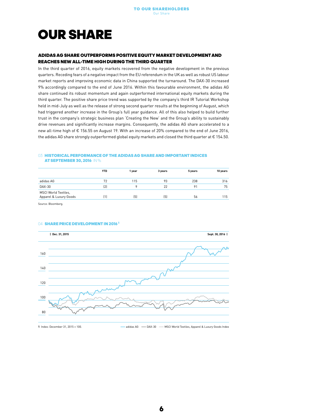### <span id="page-5-0"></span>OUR SHARE

#### ADIDAS AG SHARE OUTPERFORMS POSITIVE EQUITY MARKET DEVELOPMENT AND REACHES NEW ALL-TIME HIGH DURING THE THIRD QUARTER

In the third quarter of 2016, equity markets recovered from the negative development in the previous quarters. Receding fears of a negative impact from the EU referendum in the UK as well as robust US labour market reports and improving economic data in China supported the turnaround. The DAX-30 increased 9% accordingly compared to the end of June 2016. Within this favourable environment, the adidas AG share continued its robust momentum and again outperformed international equity markets during the third quarter. The positive share price trend was supported by the company's third IR Tutorial Workshop held in mid-July as well as the release of strong second quarter results at the beginning of August, which had triggered another increase in the Group's full year guidance. All of this also helped to build further trust in the company's strategic business plan 'Creating the New' and the Group's ability to sustainably drive revenues and significantly increase margins. Consequently, the adidas AG share accelerated to a new all-time high of € 156.55 on August 19. With an increase of 20% compared to the end of June 2016, the adidas AG share strongly outperformed global equity markets and closed the third quarter at € 154.50.

#### 03 HISTORICAL PERFORMANCE OF THE ADIDAS AG SHARE AND IMPORTANT INDICES AT SEPTEMBER 30, 2016 IN %

|                                                | <b>YTD</b>                                               | 1 year | 3 years | 5 years | 10 years |
|------------------------------------------------|----------------------------------------------------------|--------|---------|---------|----------|
| adidas AG                                      | 72                                                       | 115    | 93      | 238     | 316      |
| DAX-30                                         | (2)                                                      |        | 22      | 91      | 75       |
| MSCI World Textiles,<br>Apparel & Luxury Goods | $\left[ \begin{smallmatrix} 1 \end{smallmatrix} \right]$ | 〔5〕    | (5)     | 56      | 115      |

Source: Bloomberg.

#### 04 SHARE PRICE DEVELOPMENT IN 2016<sup>1</sup>



1 Index: December 31, 2015 = 100. **Accord Accord 2016 - Adidas AG** - DAX-30 - MSCI World Textiles, Apparel & Luxury Goods Index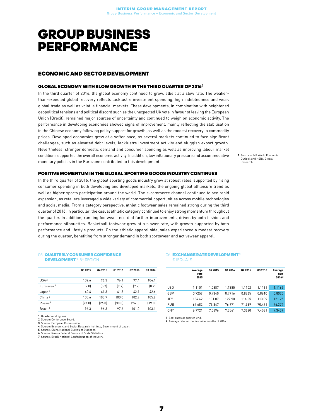### <span id="page-6-0"></span>GROUP BUSINESS PERFORMANCE

#### ECONOMIC AND SECTOR DEVELOPMENT

#### GLOBAL ECONOMY WITH SLOW GROWTH IN THE THIRD QUARTER OF 2016 1

In the third quarter of 2016, the global economy continued to grow, albeit at a slow rate. The weakerthan-expected global recovery reflects lacklustre investment spending, high indebtedness and weak global trade as well as volatile financial markets. These developments, in combination with heightened geopolitical tensions and political discord such as the unexpected UK vote in favour of leaving the European Union (Brexit), remained major sources of uncertainty and continued to weigh on economic activity. The performance in developing economies showed signs of improvement, mainly reflecting the stabilisation in the Chinese economy following policy support for growth, as well as the modest recovery in commodity prices. Developed economies grew at a softer pace, as several markets continued to face significant challenges, such as elevated debt levels, lacklustre investment activity and sluggish export growth. Nevertheless, stronger domestic demand and consumer spending as well as improving labour market conditions supported the overall economic activity. In addition, low inflationary pressure and accommodative monetary policies in the Eurozone contributed to this development.

1 Sources: IMF World Economic Outlook and HSBC Globa Research.

#### POSITIVE MOMENTUM IN THE GLOBAL SPORTING GOODS INDUSTRY CONTINUES

In the third quarter of 2016, the global sporting goods industry grew at robust rates, supported by rising consumer spending in both developing and developed markets, the ongoing global athleisure trend as well as higher sports participation around the world. The e-commerce channel continued to see rapid expansion, as retailers leveraged a wide variety of commercial opportunities across mobile technologies and social media. From a category perspective, athletic footwear sales remained strong during the third quarter of 2016. In particular, the casual athletic category continued to enjoy strong momentum throughout the quarter. In addition, running footwear recorded further improvements, driven by both fashion and performance silhouettes. Basketball footwear grew at a slower rate, with growth supported by both performance and lifestyle products. On the athletic apparel side, sales experienced a modest recovery during the quarter, benefiting from stronger demand in both sportswear and activewear apparel.

#### 05 QUARTERLY CONSUMER CONFIDENCE DEVELOPMENT<sup>1</sup> BY PEGION

|                        | 03 2015 | Q4 2015 | 01 2016 | 02 2016 | 03 2016 |
|------------------------|---------|---------|---------|---------|---------|
| USA <sup>2</sup>       | 102.6   | 96.3    | 96.1    | 97.4    | 104.1   |
| Euro area <sup>3</sup> | (7.0)   | (5.7)   | [9.7]   | (7.2)   | [8.2]   |
| Japan <sup>4</sup>     | 40.4    | 41.3    | 41.3    | 42.1    | 42.6    |
| China <sup>5</sup>     | 105.6   | 103.7   | 100.0   | 102.9   | 105.6   |
| Russia <sup>6</sup>    | [24.0]  | (26.0)  | (30.0)  | (26.0)  | (19.0)  |
| Brazil <sup>7</sup>    | 96.3    | 96.3    | 97.6    | 101.0   | 103.1   |

1 Quarter-end figures.

2 Source: Conference Board.

3 Source: European Commission.

4 Source: Economic and Social Research Institute, Government of Japan.

5 Source: China National Bureau of Statistics. 6 Source: Russia Federal Service of State Statistics.

7 Source: Brazil National Confederation of Industry.

#### 06 **EXCHANGE RATE DEVELOPMENT<sup>1</sup>** € 1 EQUALS

|            | Average<br>rate<br>2015 | Q4 2015 | 01 2016 | 02 2016 | Q3 2016 | Average<br>rate<br>20162 |
|------------|-------------------------|---------|---------|---------|---------|--------------------------|
| <b>USD</b> | 1.1101                  | 1.0887  | 1.1385  | 1,1102  | 1.1161  | 1.1162                   |
| GBP        | 0.7259                  | 0.7340  | 0.7916  | 0.8265  | 0.8610  | 0.8020                   |
| <b>JPY</b> | 134.42                  | 131.07  | 127.90  | 114.05  | 113.09  | 121.25                   |
| <b>RUB</b> | 67.682                  | 79.347  | 76.971  | 71.339  | 70.491  | 76.374                   |
| <b>CNY</b> | 6.9721                  | 7.0696  | 7.3561  | 7.3620  | 7.4531  | 7.3439                   |

1 Spot rates at quarter-end.

2 Average rate for the first nine months of 2016.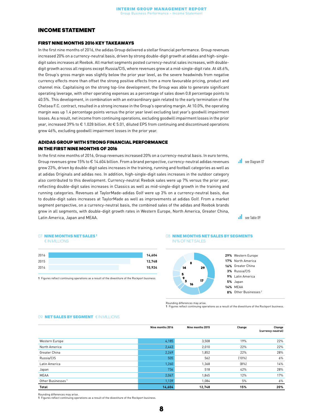#### <span id="page-7-0"></span>INCOME STATEMENT

#### FIRST NINE MONTHS 2016 KEY TAKEAWAYS

In the first nine months of 2016, the adidas Group delivered a stellar financial performance. Group revenues increased 20% on a currency-neutral basis, driven by strong double-digit growth at adidas and high-singledigit sales increases at Reebok. All market segments posted currency-neutral sales increases, with doubledigit growth across all regions except Russia/CIS, where revenues grew at a mid-single-digit rate. At 48.6%, the Group's gross margin was slightly below the prior year level, as the severe headwinds from negative currency effects more than offset the strong positive effects from a more favourable pricing, product and channel mix. Capitalising on the strong top-line development, the Group was able to generate significant operating leverage, with other operating expenses as a percentage of sales down 0.8 percentage points to 40.5%. This development, in combination with an extraordinary gain related to the early termination of the Chelsea F.C. contract, resulted in a strong increase in the Group's operating margin. At 10.0%, the operating margin was up 1.4 percentage points versus the prior year level excluding last year's goodwill impairment losses. As a result, net income from continuing operations, excluding goodwill impairment losses in the prior year, increased 39% to € 1.028 billion. At € 5.01, diluted EPS from continuing and discontinued operations grew 46%, excluding goodwill impairment losses in the prior year.

#### ADIDAS GROUP WITH STRONG FINANCIAL PERFORMANCE IN THE FIRST NINE MONTHS OF 2016

In the first nine months of 2016, Group revenues increased 20% on a currency-neutral basis. In euro terms, Group revenues grew 15% to € 14.604 billion. From a brand perspective, currency-neutral adidas revenues grew 23%, driven by double-digit sales increases in the training, running and football categories as well as at adidas Originals and adidas neo. In addition, high-single-digit sales increases in the outdoor category also contributed to this development. Currency-neutral Reebok sales were up 7% versus the prior year, reflecting double-digit sales increases in Classics as well as mid-single-digit growth in the training and running categories. Revenues at TaylorMade-adidas Golf were up 3% on a currency-neutral basis, due to double-digit sales increases at TaylorMade as well as improvements at adidas Golf. From a market segment perspective, on a currency-neutral basis, the combined sales of the adidas and Reebok brands grew in all segments, with double-digit growth rates in Western Europe, North America, Greater China, Latin America, Japan and MEAA.

**see Diagram 07** 

**all** see Table 09

#### 07 **NINE MONTHS NET SALES**

€ IN MILLIONS

| 2016 | 14,604 |
|------|--------|
| 2015 | 12,748 |
| 2014 | 10,924 |
|      |        |

1 Figures reflect continuing operations as a result of the divestiture of the Rockport business.

#### 08 NINE MONTHS NET SALES BY SEGMENTS IN % OF NET SALES



Rounding differences may arise.

1 Figures reflect continuing operations as a result of the divestiture of the Rockport business.

#### 09 NET SALES BY SEGMENT € IN MILLIONS

|                               | Nine months 2016 | Nine months 2015 | Change | Change<br>(currency-neutral) |
|-------------------------------|------------------|------------------|--------|------------------------------|
| Western Europe                | 4,185            | 3,508            | 19%    | 22%                          |
| North America                 | 2,443            | 2,010            | 22%    | 22%                          |
| Greater China                 | 2,269            | 1,852            | 22%    | 28%                          |
| Russia/CIS                    | 505              | 562              | (10%   | 6%                           |
| Latin America                 | 1,260            | 1,368            | (8%)   | 14%                          |
| Japan                         | 736              | 518              | 42%    | 28%                          |
| <b>MEAA</b>                   | 2,067            | 1,845            | 12%    | 17%                          |
| Other Businesses <sup>1</sup> | 1,139            | 1,084            | 5%     | 6%                           |
| Total                         | 14,604           | 12,748           | 15%    | 20%                          |

Rounding differences may arise.

1 Figures reflect continuing operations as a result of the divestiture of the Rockport business.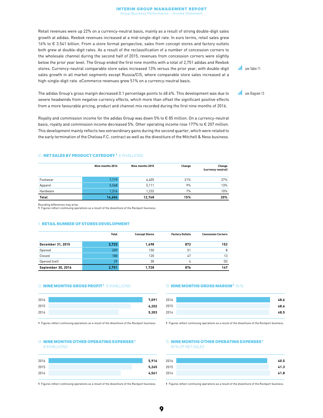Retail revenues were up 22% on a currency-neutral basis, mainly as a result of strong double-digit sales growth at adidas. Reebok revenues increased at a mid-single-digit rate. In euro terms, retail sales grew 16% to € 3.541 billion. From a store format perspective, sales from concept stores and factory outlets both grew at double-digit rates. As a result of the reclassification of a number of concession corners to the wholesale channel during the second half of 2015, revenues from concession corners were slightly below the prior year level. The Group ended the first nine months with a total of 2,751 adidas and Reebok stores. Currency-neutral comparable store sales increased 13% versus the prior year, with double-digit sales growth in all market segments except Russia/CIS, where comparable store sales increased at a high-single-digit rate. eCommerce revenues grew 51% on a currency-neutral basis.

**see Table 11** 

**I** see Diagram 13

The adidas Group's gross margin decreased 0.1 percentage points to 48.6%. This development was due to severe headwinds from negative currency effects, which more than offset the significant positive effects from a more favourable pricing, product and channel mix recorded during the first nine months of 2016.

Royalty and commission income for the adidas Group was down 5% to € 85 million. On a currency-neutral basis, royalty and commission income decreased 5%. Other operating income rose 177% to € 207 million. This development mainly reflects two extraordinary gains during the second quarter, which were related to the early termination of the Chelsea F.C. contract as well as the divestiture of the Mitchell & Ness business.

#### 10 NET SALES BY PRODUCT CATEGORY 1 € IN MILLIONS

|          | Nine months 2016 | Nine months 2015 | Change | Change<br>(currency-neutral) |
|----------|------------------|------------------|--------|------------------------------|
| Footwear | 7,719            | 6.405            | 21%    | 27%                          |
| Apparel  | 5,568            | 5,111            | 9%     | 13%                          |
| Hardware | 1,316            | 1.232            | 7%     | 10%                          |
| Total    | 14,604           | 12,748           | 15%    | 20%                          |

Rounding differences may arise.

1 Figures reflect continuing operations as a result of the divestiture of the Rockport business.

#### 11 RETAIL NUMBER OF STORES DEVELOPMENT

|                    | Total | <b>Concept Stores</b> | <b>Factory Outlets</b> | <b>Concession Corners</b> |
|--------------------|-------|-----------------------|------------------------|---------------------------|
| December 31, 2015  | 2,722 | 1,698                 | 872                    | 152                       |
| Opened             | 209   | 150                   | 51                     | 8                         |
| Closed             | 180   | 120                   | 47                     | 13                        |
| Opened (net)       | 29    | 30                    | 4                      | (5)                       |
| September 30, 2016 | 2,751 | 1,728                 | 876                    | 147                       |

#### 12 **NINE MONTHS GROSS PROFIT<sup>1</sup> € IN MILLIONS**

| 2015 | 2016 | 7,091 |
|------|------|-------|
| 2014 |      | 6,202 |
|      |      | 5,303 |

1 Figures reflect continuing operations as a result of the divestiture of the Rockport business.

#### 14 NINE MONTHS OTHER OPERATING EXPENSES<sup>1</sup> € IN MILLIONS

| 2016 | 5,916 |
|------|-------|
| 2015 | 5,265 |
| 2014 | 4,561 |

1 Figures reflect continuing operations as a result of the divestiture of the Rockport business.

#### 13 **NINE MONTHS GROSS MARGIN<sup>1</sup> IN %**

| 2016 | 48.6 |
|------|------|
| 2015 | 48.6 |
| 2014 | 48.5 |
|      |      |

1 Figures reflect continuing operations as a result of the divestiture of the Rockport business.

#### 15 **NINE MONTHS OTHER OPERATING EXPENSES<sup>1</sup>** IN % OF NET SALES

| 2016 | 40.5 |
|------|------|
| 2015 | 41.3 |
| 2014 | 41.8 |

1 Figures reflect continuing operations as a result of the divestiture of the Rockport business.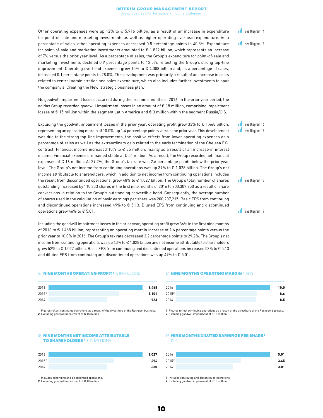Other operating expenses were up 12% to € 5.916 billion, as a result of an increase in expenditure for point-of-sale and marketing investments as well as higher operating overhead expenditure. As a percentage of sales, other operating expenses decreased 0.8 percentage points to 40.5%. Expenditure for point-of-sale and marketing investments amounted to € 1.829 billion, which represents an increase of 7% versus the prior year level. As a percentage of sales, the Group's expenditure for point-of-sale and marketing investments declined 0.9 percentage points to 12.5%, reflecting the Group's strong top-line improvement. Operating overhead expenses grew 15% to € 4.088 billion and, as a percentage of sales, increased 0.1 percentage points to 28.0%. This development was primarily a result of an increase in costs related to central administration and sales expenditure, which also includes further investments to spur the company's 'Creating the New' strategic business plan.

No goodwill impairment losses occurred during the first nine months of 2016. In the prior year period, the adidas Group recorded goodwill impairment losses in an amount of € 18 million, comprising impairment losses of € 15 million within the segment Latin America and € 3 million within the segment Russia/CIS.

Excluding the goodwill impairment losses in the prior year, operating profit grew 33% to  $\epsilon$  1.468 billion, representing an operating margin of 10.0%, up 1.4 percentage points versus the prior year. This development was due to the strong top-line improvements, the positive effects from lower operating expenses as a percentage of sales as well as the extraordinary gain related to the early termination of the Chelsea F.C. contract. Financial income increased 10% to € 35 million, mainly as a result of an increase in interest income. Financial expenses remained stable at  $\epsilon$  51 million. As a result, the Group recorded net financial expenses of € 16 million. At 29.2%, the Group's tax rate was 2.6 percentage points below the prior year level. The Group's net income from continuing operations was up 39% to € 1.028 billion. The Group's net income attributable to shareholders, which in addition to net income from continuing operations includes the result from discontinued operations, grew 48% to € 1.027 billion. The Group's total number of shares outstanding increased by 110,333 shares in the first nine months of 2016 to 200,307,750 as a result of share conversions in relation to the Group's outstanding convertible bond. Consequently, the average number of shares used in the calculation of basic earnings per share was 200,207,215. Basic EPS from continuing and discontinued operations increased 49% to € 5.13. Diluted EPS from continuing and discontinued operations grew 46% to € 5.01.

Including the goodwill impairment losses in the prior year, operating profit grew 36% in the first nine months of 2016 to € 1.468 billion, representing an operating margin increase of 1.6 percentage points versus the prior year to 10.0% in 2016. The Group's tax rate decreased 3.2 percentage points to 29.2%. The Group's net income from continuing operations was up 43% to € 1.028 billion and net income attributable to shareholders grew 52% to € 1.027 billion. Basic EPS from continuing and discontinued operations increased 53% to € 5.13 and diluted EPS from continuing and discontinued operations was up 49% to  $\epsilon$  5.01.

#### 16 **NINE MONTHS OPERATING PROFIT<sup>1</sup> € IN MILLIONS**



1 Figures reflect continuing operations as a result of the divestiture of the Rockport business. 2 Excluding goodwill impairment of € 18 million

#### 18 NINE MONTHS NET INCOME ATTRIBUTABLE TO SHAREHOLDERS 1 € IN MILLIONS

| 2016  | 1,027 |
|-------|-------|
| 20152 | 696   |
| 2014  | 630   |

1 Includes continuing and discontinued operations.

2 Excluding goodwill impairment of € 18 million.

#### 17 **NINE MONTHS OPERATING MARGIN<sup>1</sup> IN %**

| 2016              | 10.0 |
|-------------------|------|
| 2015 <sup>2</sup> | 8.6  |
| 2014              | 8.5  |
|                   |      |

1 Figures reflect continuing operations as a result of the divestiture of the Rockport business. 2 Excluding goodwill impairment of € 18 million

#### 19 NINE MONTHS DILUTED EARNINGS PER SHARE<sup>1</sup> IN €

| 2016  |  | 5.01 |
|-------|--|------|
|       |  |      |
| 20152 |  | 3.45 |
| 2014  |  | 3.01 |
|       |  |      |

1 Includes continuing and discontinued operations.

2 Excluding goodwill impairment of € 18 million.



al. see Diagram 15

**Il** see Diagram 16 **I** see Diagram 17

**Il** see Diagram 18

**I** see Diagram 19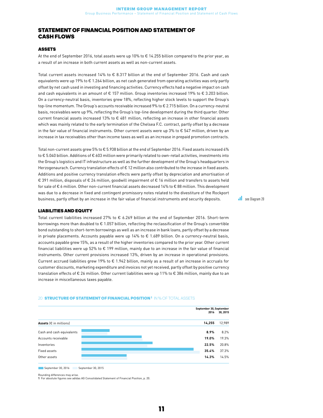#### <span id="page-10-0"></span>STATEMENT OF FINANCIAL POSITION AND STATEMENT OF CASH FLOWS

#### ASSETS

At the end of September 2016, total assets were up 10% to € 14.255 billion compared to the prior year, as a result of an increase in both current assets as well as non-current assets.

Total current assets increased 14% to € 8.317 billion at the end of September 2016. Cash and cash equivalents were up 19% to € 1.264 billion, as net cash generated from operating activities was only partly offset by net cash used in investing and financing activities. Currency effects had a negative impact on cash and cash equivalents in an amount of € 157 million. Group inventories increased 19% to € 3.203 billion. On a currency-neutral basis, inventories grew 18%, reflecting higher stock levels to support the Group's top-line momentum. The Group's accounts receivable increased 9% to € 2.715 billion. On a currency-neutral basis, receivables were up 9%, reflecting the Group's top-line development during the third quarter. Other current financial assets increased 13% to € 481 million, reflecting an increase in other financial assets which was mainly related to the early termination of the Chelsea F.C. contract, partly offset by a decrease in the fair value of financial instruments. Other current assets were up 3% to € 547 million, driven by an increase in tax receivables other than income taxes as well as an increase in prepaid promotion contracts.

Total non-current assets grew 5% to € 5.938 billion at the end of September 2016. Fixed assets increased 4% to € 5.040 billion. Additions of € 603 million were primarily related to own-retail activities, investments into the Group's logistics and IT infrastructure as well as the further development of the Group's headquarters in Herzogenaurach. Currency translation effects of € 12 million also contributed to the increase in fixed assets. Additions and positive currency translation effects were partly offset by depreciation and amortisation of € 391 million, disposals of € 24 million, goodwill impairment of € 16 million and transfers to assets held for sale of € 6 million. Other non-current financial assets decreased 14% to € 88 million. This development was due to a decrease in fixed and contingent promissory notes related to the divestiture of the Rockport business, partly offset by an increase in the fair value of financial instruments and security deposits.

#### LIABILITIES AND EQUITY

Total current liabilities increased 27% to € 6.269 billion at the end of September 2016. Short-term borrowings more than doubled to € 1.057 billion, reflecting the reclassification of the Group's convertible bond outstanding to short-term borrowings as well as an increase in bank loans, partly offset by a decrease in private placements. Accounts payable were up 14% to € 1.689 billion. On a currency-neutral basis, accounts payable grew 15%, as a result of the higher inventories compared to the prior year. Other current financial liabilities were up 52% to € 199 million, mainly due to an increase in the fair value of financial instruments. Other current provisions increased 13%, driven by an increase in operational provisions. Current accrued liabilities grew 19% to € 1.942 billion, mainly as a result of an increase in accruals for customer discounts, marketing expenditure and invoices not yet received, partly offset by positive currency translation effects of € 26 million. Other current liabilities were up 11% to € 386 million, mainly due to an increase in miscellaneous taxes payable.

#### September 30, September 2016 30, 2015 Assets (€ in millions) **14,255** 12,989 Cash and cash equivalents 8.9% 8.2% Accounts receivable 19.0% 19.3% Inventories 22.5% 20.8% Fixed assets 37.3% **2006 2016 2017 2020 2031 2032 2033** 35.4% 37.3% 37.3% 37.3% Other assets **14.3% 12.5% 12.5% 12.5% 12.5% 12.5% 12.5% 12.5% 12.5% 12.5% 12.5% 12.5% 12.5% 12.5% 12.5% 12.5% 12.5%**

#### 20 STRUCTURE OF STATEMENT OF FINANCIAL POSITION<sup>1</sup> IN % OF TOTAL ASSETS

■ September 30, 2016 ■ September 30, 2015

Rounding differences may arise.

1 For absolute figures see adidas AG Consolidated Statement of Financial Position, p. [20.](#page-19-1)

**I** see Diagram 20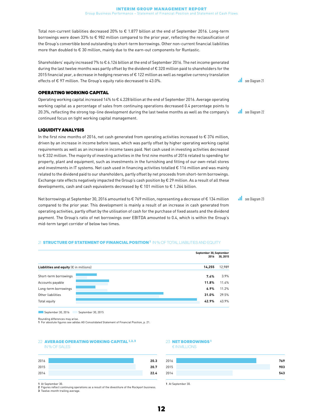Total non-current liabilities decreased 20% to € 1.877 billion at the end of September 2016. Long-term borrowings were down 33% to € 982 million compared to the prior year, reflecting the reclassification of the Group's convertible bond outstanding to short-term borrowings. Other non-current financial liabilities more than doubled to € 30 million, mainly due to the earn-out components for Runtastic.

Shareholders' equity increased 7% to € 6.126 billion at the end of September 2016. The net income generated during the last twelve months was partly offset by the dividend of € 320 million paid to shareholders for the 2015 financial year, a decrease in hedging reserves of € 122 million as well as negative currency translation effects of € 97 million. The Group's equity ratio decreased to 43.0%.

#### OPERATING WORKING CAPITAL

Operating working capital increased 14% to € 4.228 billion at the end of September 2016. Average operating working capital as a percentage of sales from continuing operations decreased 0.4 percentage points to 20.3%, reflecting the strong top-line development during the last twelve months as well as the company's continued focus on tight working capital management.

#### LIQUIDITY ANALYSIS

In the first nine months of 2016, net cash generated from operating activities increased to  $\epsilon$  376 million, driven by an increase in income before taxes, which was partly offset by higher operating working capital requirements as well as an increase in income taxes paid. Net cash used in investing activities decreased to € 332 million. The majority of investing activities in the first nine months of 2016 related to spending for property, plant and equipment, such as investments in the furnishing and fitting of our own-retail stores and investments in IT systems. Net cash used in financing activities totalled € 116 million and was mainly related to the dividend paid to our shareholders, partly offset by net proceeds from short-term borrowings. Exchange rate effects negatively impacted the Group's cash position by € 29 million. As a result of all these developments, cash and cash equivalents decreased by  $\epsilon$  101 million to  $\epsilon$  1.264 billion.

Net borrowings at September 30, 2016 amounted to € 769 million, representing a decrease of € 134 million compared to the prior year. This development is mainly a result of an increase in cash generated from operating activities, partly offset by the utilisation of cash for the purchase of fixed assets and the dividend payment. The Group's ratio of net borrowings over EBITDA amounted to 0.4, which is within the Group's mid-term target corridor of below two times.

#### 21 STRUCTURE OF STATEMENT OF FINANCIAL POSITION<sup>1</sup> IN % OF TOTAL LIABILITIES AND EQUITY



Beptember 30, 2016 Beptember 30, 2015

Rounding differences may arise.

1 For absolute figures see adidas AG Consolidated Statement of Financial Position, p. [21.](#page-20-0)

#### 22 AVERAGE OPERATING WORKING CAPITAL 1, 2, 3 IN % OF SALES



1 At September 30.

2 Figures reflect continuing operations as a result of the divestiture of the Rockport business. 3 Twelve-month trailing average.



**see Diagram 22** 

**Il** see Diagram 23

23 NET BORROWINGS<sup>1</sup>





1 At September 30.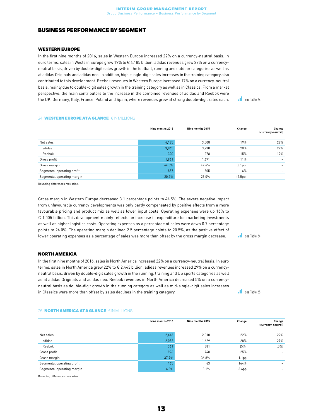#### <span id="page-12-0"></span>BUSINESS PERFORMANCE BY SEGMENT

#### WESTERN EUROPE

In the first nine months of 2016, sales in Western Europe increased 22% on a currency-neutral basis. In euro terms, sales in Western Europe grew 19% to € 4.185 billion. adidas revenues grew 22% on a currencyneutral basis, driven by double-digit sales growth in the football, running and outdoor categories as well as at adidas Originals and adidas neo. In addition, high-single-digit sales increases in the training category also contributed to this development. Reebok revenues in Western Europe increased 17% on a currency-neutral basis, mainly due to double-digit sales growth in the training category as well as in Classics. From a market perspective, the main contributors to the increase in the combined revenues of adidas and Reebok were the UK, Germany, Italy, France, Poland and Spain, where revenues grew at strong double-digit rates each.

see Table 24

#### 24 WESTERN EUROPE AT A GLANCE € IN MILLIONS

|                            | Nine months 2016 | Nine months 2015 | Change               | Change<br>(currency-neutral) |
|----------------------------|------------------|------------------|----------------------|------------------------------|
| Net sales                  | 4,185            | 3,508            | 19%                  | 22%                          |
| adidas                     | 3,865            | 3,230            | 20%                  | 22%                          |
| Reebok                     | 320              | 278              | 15%                  | 17%                          |
| Gross profit               | 1,861            | 1,671            | 11%                  |                              |
| Gross margin               | 44.5%            | 47.6%            | (3.1 <sub>pp</sub> ) |                              |
| Segmental operating profit | 857              | 805              | 6%                   |                              |
| Segmental operating margin | 20.5%            | 23.0%            | (2.5pp)              |                              |

Rounding differences may arise.

Gross margin in Western Europe decreased 3.1 percentage points to 44.5%. The severe negative impact from unfavourable currency developments was only partly compensated by positive effects from a more favourable pricing and product mix as well as lower input costs. Operating expenses were up 16% to € 1.005 billion. This development mainly reflects an increase in expenditure for marketing investments as well as higher logistics costs. Operating expenses as a percentage of sales were down 0.7 percentage points to 24.0%. The operating margin declined 2.5 percentage points to 20.5%, as the positive effect of lower operating expenses as a percentage of sales was more than offset by the gross margin decrease.

#### NORTH AMERICA

In the first nine months of 2016, sales in North America increased 22% on a currency-neutral basis. In euro terms, sales in North America grew 22% to € 2.443 billion. adidas revenues increased 29% on a currencyneutral basis, driven by double-digit sales growth in the running, training and US sports categories as well as at adidas Originals and adidas neo. Reebok revenues in North America decreased 5% on a currencyneutral basis as double-digit growth in the running category as well as mid-single-digit sales increases in Classics were more than offset by sales declines in the training category.

see Table 24

 $\overline{\phantom{a}}$ see Table 25

#### 25 **NORTH AMERICA AT A GLANCE** € IN MILLIONS

|                            | Nine months 2016 | Nine months 2015 | Change            | Change<br>(currency-neutral) |
|----------------------------|------------------|------------------|-------------------|------------------------------|
| Net sales                  | 2,443            | 2,010            | 22%               | 22%                          |
| adidas                     | 2,082            | 1,629            | 28%               | 29%                          |
| Reebok                     | 361              | 381              | (5%)              | (5%)                         |
| Gross profit               | 926              | 740              | 25%               |                              |
| Gross margin               | 37.9%            | 36.8%            | 1.1 <sub>pp</sub> |                              |
| Segmental operating profit | 165              | 63               | 164%              |                              |
| Segmental operating margin | 6.8%             | 3.1%             | 3.6 <sub>pp</sub> | -                            |

Rounding differences may arise.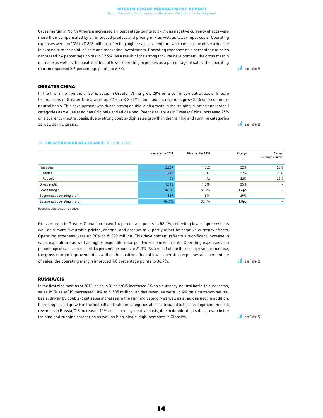Gross margin in North America increased 1.1 percentage points to 37.9% as negative currency effects were more than compensated by an improved product and pricing mix as well as lower input costs. Operating expenses were up 13% to € 803 million, reflecting higher sales expenditure which more than offset a decline in expenditure for point-of-sale and marketing investments. Operating expenses as a percentage of sales decreased 2.4 percentage points to 32.9%. As a result of the strong top-line development, the gross margin increase as well as the positive effect of lower operating expenses as a percentage of sales, the operating margin improved 3.6 percentage points to 6.8%.

#### GREATER CHINA

In the first nine months of 2016, sales in Greater China grew 28% on a currency-neutral basis. In euro terms, sales in Greater China were up 22% to € 2.269 billion. adidas revenues grew 28% on a currencyneutral basis. This development was due to strong double-digit growth in the training, running and football categories as well as at adidas Originals and adidas neo. Reebok revenues in Greater China increased 25% on a currency-neutral basis, due to strong double-digit sales growth in the training and running categories as well as in Classics.

**see Table 26** 

#### 26 **GREATER CHINA AT A GLANCE** € IN MILLIONS

|                            | Nine months 2016 | Nine months 2015 | Change            | Change<br>(currency-neutral) |
|----------------------------|------------------|------------------|-------------------|------------------------------|
| Net sales                  | 2,269            | 1,852            | 22%               | 28%                          |
| adidas                     | 2,218            | 1,811            | 22%               | 28%                          |
| Reebok                     | 51               | 42               | 22%               | 25%                          |
| Gross profit               | 1,316            | 1,048            | 25%               |                              |
| Gross margin               | 58.0%            | 56.6%            | 1.4 <sub>pp</sub> |                              |
| Segmental operating profit | 837              | 649              | 29%               |                              |
| Segmental operating margin | 36.9%            | 35.1%            | 1.8 <sub>pp</sub> |                              |

Rounding differences may arise.

Gross margin in Greater China increased 1.4 percentage points to 58.0%, reflecting lower input costs as well as a more favourable pricing, channel and product mix, partly offset by negative currency effects. Operating expenses were up 20% to € 479 million. This development reflects a significant increase in sales expenditure as well as higher expenditure for point-of-sale investments. Operating expenses as a percentage of sales decreased 0.4 percentage points to 21.1%. As a result of the the strong revenue increase, the gross margin improvement as well as the positive effect of lower operating expenses as a percentage of sales, the operating margin improved 1.8 percentage points to 36.9%.

#### RUSSIA/CIS

In the first nine months of 2016, sales in Russia/CIS increased 6% on a currency-neutral basis. In euro terms, sales in Russia/CIS decreased 10% to € 505 million. adidas revenues were up 4% on a currency-neutral basis, driven by double-digit sales increases in the running category as well as at adidas neo. In addition, high-single-digit growth in the football and outdoor categories also contributed to this development. Reebok revenues in Russia/CIS increased 13% on a currency-neutral basis, due to double-digit sales growth in the training and running categories as well as high-single-digit increases in Classics.

**see Table 26** 

**see Table 27** 

**see Table 25**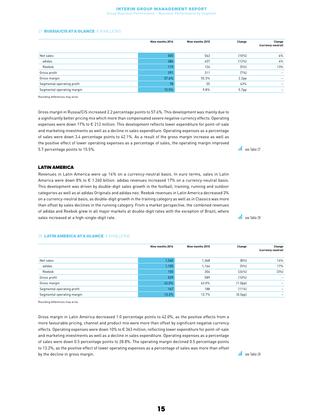#### Interim Group Management Report

Group Business Performance – Business Performance by Segment

#### 27 **RUSSIA/CIS AT A GLANCE** € IN MILLIONS

|                            | Nine months 2016 | Nine months 2015 | Change            | Change<br>(currency-neutral) |
|----------------------------|------------------|------------------|-------------------|------------------------------|
| Net sales                  | 505              | 562              | $(10\%)$          | $6\%$                        |
| adidas                     | 386              | 437              | (12%)             | 4%                           |
| Reebok                     | 119              | 124              | (5%)              | 13%                          |
| Gross profit               | 291              | 311              | (7%)              |                              |
| Gross margin               | 57.6%            | 55.3%            | 2.2 <sub>pp</sub> |                              |
| Segmental operating profit | 78               | 55               | 42%               |                              |
| Segmental operating margin | 15.5%            | 9.8%             | 5.7 <sub>pp</sub> |                              |

Rounding differences may arise.

Gross margin in Russia/CIS increased 2.2 percentage points to 57.6%. This development was mainly due to a significantly better pricing mix which more than compensated severe negative currency effects. Operating expenses were down 17% to € 212 million. This development reflects lower expenditure for point-of-sale and marketing investments as well as a decline in sales expenditure. Operating expenses as a percentage of sales were down 3.4 percentage points to 42.1%. As a result of the gross margin increase as well as the positive effect of lower operating expenses as a percentage of sales, the operating margin improved 5.7 percentage points to 15.5%.

LATIN AMERICA

Revenues in Latin America were up 14% on a currency-neutral basis. In euro terms, sales in Latin America were down 8% to € 1.260 billion. adidas revenues increased 17% on a currency-neutral basis. This development was driven by double-digit sales growth in the football, training, running and outdoor categories as well as at adidas Originals and adidas neo. Reebok revenues in Latin America decreased 3% on a currency-neutral basis, as double-digit growth in the training category as well as in Classics was more than offset by sales declines in the running category. From a market perspective, the combined revenues of adidas and Reebok grew in all major markets at double-digit rates with the exception of Brazil, where sales increased at a high-single-digit rate.

#### 28 LATIN AMERICA AT A GLANCE € IN MILLIONS

|                            | Nine months 2016 | Nine months 2015 | Change               | Change<br>(currency-neutral) |
|----------------------------|------------------|------------------|----------------------|------------------------------|
| Net sales                  | 1,260            | 1,368            | [8%]                 | 14%                          |
| adidas                     | 1,105            | 1,164            | (5%)                 | 17%                          |
| Reebok                     | 155              | 204              | [24%]                | (3%)                         |
| Gross profit               | 529              | 589              | (10%                 | $\overline{\phantom{0}}$     |
| Gross margin               | 42.0%            | 43.0%            | (1.0 <sub>pp</sub> ) |                              |
| Segmental operating profit | 167              | 188              | $(11\%)$             |                              |
| Segmental operating margin | 13.2%            | 13.7%            | (0.5 <sub>pp</sub> ) |                              |

Rounding differences may arise.

Gross margin in Latin America decreased 1.0 percentage points to 42.0%, as the positive effects from a more favourable pricing, channel and product mix were more than offset by significant negative currency effects. Operating expenses were down 10% to € 363 million, reflecting lower expenditure for point-of-sale and marketing investments as well as a decline in sales expenditure. Operating expenses as a percentage of sales were down 0.5 percentage points to 28.8%. The operating margin declined 0.5 percentage points to 13.2%, as the positive effect of lower operating expenses as a percentage of sales was more than offset by the decline in gross margin.

**see Table 27** 

**see Table 28** 

see Table 28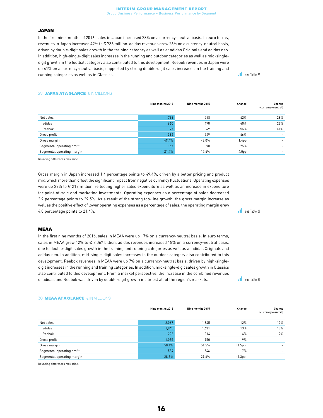#### Interim Group Management Report

Group Business Performance – Business Performance by Segment

#### JAPAN

In the first nine months of 2016, sales in Japan increased 28% on a currency-neutral basis. In euro terms, revenues in Japan increased 42% to € 736 million. adidas revenues grew 26% on a currency-neutral basis, driven by double-digit sales growth in the training category as well as at adidas Originals and adidas neo. In addition, high-single-digit sales increases in the running and outdoor categories as well as mid-singledigit growth in the football category also contributed to this development. Reebok revenues in Japan were up 41% on a currency-neutral basis, supported by strong double-digit sales increases in the training and running categories as well as in Classics.

**see Table 29** 

#### 29 **JAPAN AT A GLANCE** € IN MILLIONS

|                            | Nine months 2016 | Nine months 2015 | Change            | Change<br>(currency-neutral) |
|----------------------------|------------------|------------------|-------------------|------------------------------|
| Net sales                  | 736              | 518              | 42%               | 28%                          |
| adidas                     | 660              | 470              | 40%               | 26%                          |
| Reebok                     | 77               | 49               | 56%               | 41%                          |
| Gross profit               | 364              | 249              | 46%               |                              |
| Gross margin               | 49.4%            | 48.0%            | 1.4 <sub>pp</sub> |                              |
| Segmental operating profit | 157              | 90               | 75%               |                              |
| Segmental operating margin | 21.4%            | 17.4%            | 4.0 <sub>pp</sub> | -                            |

Rounding differences may arise.

Gross margin in Japan increased 1.4 percentage points to 49.4%, driven by a better pricing and product mix, which more than offset the significant impact from negative currency fluctuations. Operating expenses were up 29% to € 217 million, reflecting higher sales expenditure as well as an increase in expenditure for point-of-sale and marketing investments. Operating expenses as a percentage of sales decreased 2.9 percentage points to 29.5%. As a result of the strong top-line growth, the gross margin increase as well as the positive effect of lower operating expenses as a percentage of sales, the operating margin grew 4.0 percentage points to 21.4%.

see Table 29

**see Table 30** 

#### MEAA

In the first nine months of 2016, sales in MEAA were up 17% on a currency-neutral basis. In euro terms, sales in MEAA grew 12% to € 2.067 billion. adidas revenues increased 18% on a currency-neutral basis, due to double-digit sales growth in the training and running categories as well as at adidas Originals and adidas neo. In addition, mid-single-digit sales increases in the outdoor category also contributed to this development. Reebok revenues in MEAA were up 7% on a currency-neutral basis, driven by high-singledigit increases in the running and training categories. In addition, mid-single-digit sales growth in Classics also contributed to this development. From a market perspective, the increase in the combined revenues of adidas and Reebok was driven by double-digit growth in almost all of the region's markets.

#### Nine months 2016 Nine months 2015 Change Change (currency-neutral) Net sales 2,067 1,845 12% 17% adidas 1,845 1,631 13% 18%  $\rm{Reebok}$  222  $\rm{22}$   $\rm{214}$   $\rm{4\%}$   $\rm{4\%}$ Gross profit 1,035 950 9% – Gross margin 50.1% 51.5% (1.5pp) – Segmental operating profit that is a set of the second second service in the second second service in the second service in the second service in the service in the service in the service in the service in the service in t Segmental operating margin 28.3% 29.6% (1.3pp) –

30 MEAA AT A GLANCE € IN MILLIONS

Rounding differences may arise.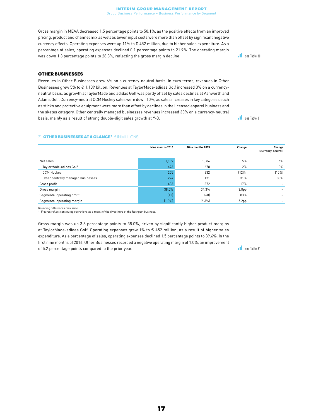Gross margin in MEAA decreased 1.5 percentage points to 50.1%, as the positive effects from an improved pricing, product and channel mix as well as lower input costs were more than offset by significant negative currency effects. Operating expenses were up 11% to € 452 million, due to higher sales expenditure. As a percentage of sales, operating expenses declined 0.1 percentage points to 21.9%. The operating margin was down 1.3 percentage points to 28.3%, reflecting the gross margin decline.

#### OTHER BUSINESSES

Revenues in Other Businesses grew 6% on a currency-neutral basis. In euro terms, revenues in Other Businesses grew 5% to € 1.139 billion. Revenues at TaylorMade-adidas Golf increased 3% on a currencyneutral basis, as growth at TaylorMade and adidas Golf was partly offset by sales declines at Ashworth and Adams Golf. Currency-neutral CCM Hockey sales were down 10%, as sales increases in key categories such as sticks and protective equipment were more than offset by declines in the licensed apparel business and the skates category. Other centrally managed businesses revenues increased 30% on a currency-neutral basis, mainly as a result of strong double-digit sales growth at Y-3.

#### **31 OTHER BUSINESSES AT A GLANCE<sup>1</sup> € IN MILLIONS**

|                                    | Nine months 2016 | Nine months 2015 | Change            | Change<br>(currency-neutral) |
|------------------------------------|------------------|------------------|-------------------|------------------------------|
| Net sales                          | 1,139            | 1,084            | 5%                | 6%                           |
| TaylorMade-adidas Golf             | 693              | 678              | 2%                | 3%                           |
| <b>CCM Hockey</b>                  | 205              | 232              | (12%)             | (10%                         |
| Other centrally managed businesses | 224              | 171              | 31%               | 30%                          |
| Gross profit                       | 433              | 372              | 17%               |                              |
| Gross margin                       | 38.0%            | 34.3%            | 3.8 <sub>pp</sub> |                              |
| Segmental operating profit         | (12)             | (68)             | 83%               |                              |
| Segmental operating margin         | $(1.0\%)$        | $(6.3\%)$        | 5.2 <sub>pp</sub> |                              |

Rounding differences may arise. 1 Figures reflect continuing operations as a result of the divestiture of the Rockport business.

Gross margin was up 3.8 percentage points to 38.0%, driven by significantly higher product margins at TaylorMade-adidas Golf. Operating expenses grew 1% to € 452 million, as a result of higher sales expenditure. As a percentage of sales, operating expenses declined 1.5 percentage points to 39.6%. In the first nine months of 2016, Other Businesses recorded a negative operating margin of 1.0%, an improvement of 5.2 percentage points compared to the prior year.

**see Table 31** 

**see Table 30** 

**see Table 31**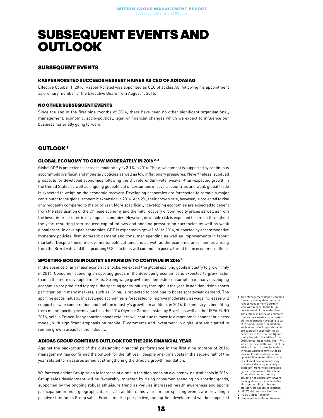### <span id="page-17-0"></span>SUBSEQUENT EVENTS AND **OUTLOOK**

#### SUBSEQUENT EVENTS

#### KASPER RORSTED SUCCEEDS HERBERT HAINER AS CEO OF ADIDAS AG

Effective October 1, 2016, Kasper Rorsted was appointed as CEO of adidas AG, following his appointment as ordinary member of the Executive Board from August 1, 2016.

#### NO OTHER SUBSEQUENT EVENTS

Since the end of the first nine months of 2016, there have been no other significant organisational, management, economic, socio-political, legal or financial changes which we expect to influence our business materially going forward.

#### OUTLOOK 1

#### GLOBAL ECONOMY TO GROW MODERATELY IN 2016<sup>2, 3</sup>

Global GDP is projected to increase moderately by 3.1% in 2016. This development is supported by continuous accommodative fiscal and monetary policies as well as low inflationary pressures. Nevertheless, subdued prospects for developed economies following the UK referendum vote, weaker-than-expected growth in the United States as well as ongoing geopolitical uncertainties in several countries and weak global trade is expected to weigh on the economic recovery. Developing economies are forecasted to remain a major contributor to the global economic expansion in 2016. At 4.2%, their growth rate, however, is projected to rise only modestly compared to the prior year. More specifically, developing economies are expected to benefit from the stabilisation of the Chinese economy and the mild recovery of commodity prices as well as from the lower interest rates in developed economies. However, downside risk is expected to persist throughout the year, resulting from reduced capital inflows and ongoing pressure on currencies as well as weak global trade. In developed economies, GDP is expected to grow 1.6% in 2016, supported by accommodative monetary policies, firm domestic demand and consumer spending as well as improvements in labour markets. Despite these improvements, political tensions as well as the economic uncertainties arising from the Brexit vote and the upcoming U.S. elections will continue to pose a threat to the economic outlook.

#### SPORTING GOODS INDUSTRY EXPANSION TO CONTINUE IN 2016 4

In the absence of any major economic shocks, we expect the global sporting goods industry to grow firmly in 2016. Consumer spending on sporting goods in the developing economies is expected to grow faster than in the more developed markets. Strong wage growth and domestic consumption in many developing economies are predicted to propel the sporting goods industry throughout the year. In addition, rising sports participation in many markets, such as China, is projected to continue to boost sportswear demand. The sporting goods industry in developed economies is forecasted to improve moderately as wage increases will support private consumption and fuel the industry's growth. In addition, in 2016, the industry is benefiting from major sporting events, such as the 2016 Olympic Games hosted by Brazil, as well as the UEFA EURO 2016, held in France. Many sporting goods retailers will continue to move to a more omni-channel business model, with significant emphasis on mobile. E-commerce and investment in digital are anticipated to remain growth areas for the industry.

#### ADIDAS GROUP CONFIRMS OUTLOOK FOR THE 2016 FINANCIAL YEAR

Against the background of the outstanding financial performance in the first nine months of 2016, management has confirmed the outlook for the full year, despite one-time costs in the second half of the year related to measures aimed at strengthening the Group's growth foundation.

We forecast adidas Group sales to increase at a rate in the high teens on a currency-neutral basis in 2016. Group sales development will be favourably impacted by rising consumer spending on sporting goods, supported by the ongoing robust athleisure trend as well as increased health awareness and sports participation in most geographical areas. In addition, this year's major sporting events are providing a positive stimulus to Group sales. From a market perspective, the top-line development will be supported

- 1 This Management Report contains forward-looking statements that reflect Management's current view with respect to the future development of the adidas Group. The outlook is based on estimates that we have made on the basis of all the information available to us at this point in time. In addition, such forward-looking statements are subject to uncertainties as described in the Risk and Opportunity Report of the adidas Group 2015 Annual Report (pp. 156–174), which are beyond the control of the adidas Group. In case the underlying assumptions turn o incorrect or described risks or opportunities materialise, actual results and developments may materially deviate (negatively or positively) from those expressed by such statements. The adidas Group does not assume any obligation to update any forwardlooking statements made in this Management Report beyond statutory disclosure obligations.
- 2 IMF World Economic Outlook.
- 3 HSBC Global Research. 4 Deutsche Bank Market Research.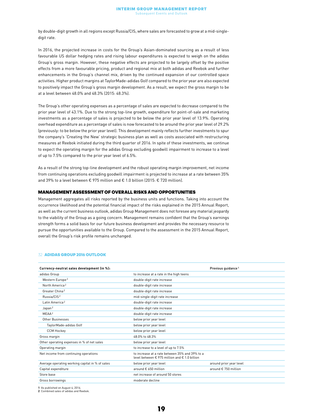by double-digit growth in all regions except Russia/CIS, where sales are forecasted to grow at a mid-singledigit rate.

In 2016, the projected increase in costs for the Group's Asian-dominated sourcing as a result of less favourable US dollar hedging rates and rising labour expenditures is expected to weigh on the adidas Group's gross margin. However, these negative effects are projected to be largely offset by the positive effects from a more favourable pricing, product and regional mix at both adidas and Reebok and further enhancements in the Group's channel mix, driven by the continued expansion of our controlled space activities. Higher product margins at TaylorMade-adidas Golf compared to the prior year are also expected to positively impact the Group's gross margin development. As a result, we expect the gross margin to be at a level between 48.0% and 48.3% (2015: 48.3%).

The Group's other operating expenses as a percentage of sales are expected to decrease compared to the prior year level of 43.1%. Due to the strong top-line growth, expenditure for point-of-sale and marketing investments as a percentage of sales is projected to be below the prior year level of 13.9%. Operating overhead expenditure as a percentage of sales is now forecasted to be around the prior year level of 29.2% (previously: to be below the prior year level). This development mainly reflects further investments to spur the company's 'Creating the New' strategic business plan as well as costs associated with restructuring measures at Reebok initiated during the third quarter of 2016. In spite of these investments, we continue to expect the operating margin for the adidas Group excluding goodwill impairment to increase to a level of up to 7.5% compared to the prior year level of 6.5%.

As a result of the strong top-line development and the robust operating margin improvement, net income from continuing operations excluding goodwill impairment is projected to increase at a rate between 35% and 39% to a level between € 975 million and € 1.0 billion (2015: € 720 million).

#### MANAGEMENT ASSESSMENT OF OVERALL RISKS AND OPPORTUNITIES

Management aggregates all risks reported by the business units and functions. Taking into account the occurrence likelihood and the potential financial impact of the risks explained in the 2015 Annual Report, as well as the current business outlook, adidas Group Management does not foresee any material jeopardy to the viability of the Group as a going concern. Management remains confident that the Group's earnings strength forms a solid basis for our future business development and provides the necessary resource to pursue the opportunities available to the Group. Compared to the assessment in the 2015 Annual Report, overall the Group's risk profile remains unchanged.

|                                                                                                                   | Previous guidance <sup>1</sup> |
|-------------------------------------------------------------------------------------------------------------------|--------------------------------|
| to increase at a rate in the high teens                                                                           |                                |
| double-digit rate increase                                                                                        |                                |
| double-digit rate increase                                                                                        |                                |
| double-digit rate increase                                                                                        |                                |
| mid-single-digit rate increase                                                                                    |                                |
| double-digit rate increase                                                                                        |                                |
| double-digit rate increase                                                                                        |                                |
| double-digit rate increase                                                                                        |                                |
| below prior year level                                                                                            |                                |
| below prior year level                                                                                            |                                |
| below prior year level                                                                                            |                                |
| 48.0% to 48.3%                                                                                                    |                                |
| below prior year level                                                                                            |                                |
| to increase to a level of up to 7.5%                                                                              |                                |
| to increase at a rate between 35% and 39% to a<br>level between $\epsilon$ 975 million and $\epsilon$ 1.0 billion |                                |
| below prior year level                                                                                            | around prior year level        |
| around € 650 million                                                                                              | around € 750 million           |
| net increase of around 50 stores                                                                                  |                                |
| moderate decline                                                                                                  |                                |
|                                                                                                                   |                                |

#### 32 ADIDAS GROUP 2016 OUTLOOK

1 As published on August 4, 2016. 2 Combined sales of adidas and Reebok.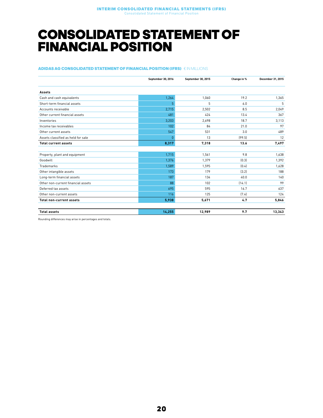### <span id="page-19-0"></span>CONSOLIDATED STATEMENT OF FINANCIAL POSITION

#### ADIDAS AG CONSOLIDATED STATEMENT OF FINANCIAL POSITION (IFRS) € IN MILLIONS

<span id="page-19-1"></span>

|                                    | September 30, 2016 | September 30, 2015 | Change in % | December 31, 2015 |
|------------------------------------|--------------------|--------------------|-------------|-------------------|
| Assets                             |                    |                    |             |                   |
| Cash and cash equivalents          | 1,264              | 1,060              | 19.2        | 1,365             |
| Short-term financial assets        | 5                  | 5                  | 6.0         | 5                 |
| Accounts receivable                | 2,715              | 2,502              | 8.5         | 2,049             |
| Other current financial assets     | 481                | 424                | 13.4        | 367               |
| Inventories                        | 3,203              | 2,698              | 18.7        | 3,113             |
| Income tax receivables             | 102                | 84                 | 21.0        | 97                |
| Other current assets               | 547                | 531                | 3.0         | 489               |
| Assets classified as held for sale | $\theta$           | 13                 | (99.5)      | 12                |
| <b>Total current assets</b>        | 8,317              | 7,318              | 13.6        | 7,497             |
|                                    |                    |                    |             |                   |
| Property, plant and equipment      | 1,715              | 1,561              | 9.8         | 1,638             |
| Goodwill                           | 1,376              | 1,379              | [0.3]       | 1,392             |
| Trademarks                         | 1,589              | 1,595              | (0.4)       | 1,628             |
| Other intangible assets            | 173                | 179                | (3.2)       | 188               |
| Long-term financial assets         | 187                | 134                | 40.0        | 140               |
| Other non-current financial assets | 88                 | 102                | (14.1)      | 99                |
| Deferred tax assets                | 695                | 595                | 16.7        | 637               |
| Other non-current assets           | 116                | 125                | (7.4)       | 124               |
| <b>Total non-current assets</b>    | 5,938              | 5,671              | 4.7         | 5,846             |
| <b>Total assets</b>                | 14,255             | 12,989             | 9.7         | 13,343            |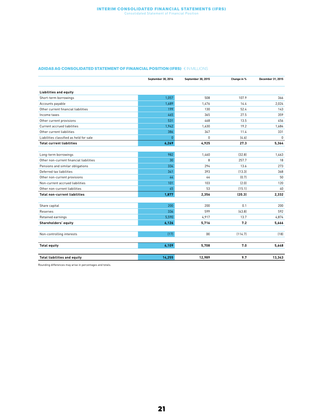#### Interim Consolidated Financial Statements (IFRS) Consolidated Statement of Financial Position

#### ADIDAS AG CONSOLIDATED STATEMENT OF FINANCIAL POSITION (IFRS)  $\,\epsilon$  in Millions

<span id="page-20-0"></span>

|                                         | September 30, 2016 | September 30, 2015 | Change in % | December 31, 2015 |
|-----------------------------------------|--------------------|--------------------|-------------|-------------------|
| <b>Liabilities and equity</b>           |                    |                    |             |                   |
| Short-term borrowings                   | 1,057              | 508                | 107.9       | 366               |
| Accounts payable                        | 1,689              | 1,476              | 14.4        | 2,024             |
| Other current financial liabilities     | 199                | 130                | 52.4        | 143               |
| Income taxes                            | 465                | 365                | 27.5        | 359               |
| Other current provisions                | 531                | 468                | 13.5        | 456               |
| Current accrued liabilities             | 1,942              | 1,630              | 19.2        | 1,684             |
| Other current liabilities               | 386                | 347                | 11.4        | 331               |
| Liabilities classified as held for sale | $\Omega$           | $\mathbf{0}$       | [4.6]       | $\mathbf{0}$      |
| <b>Total current liabilities</b>        | 6,269              | 4,925              | 27.3        | 5,364             |
|                                         |                    |                    |             |                   |
| Long-term borrowings                    | 982                | 1,460              | (32.8)      | 1,463             |
| Other non-current financial liabilities | 30                 | 8                  | 257.7       | 18                |
| Pensions and similar obligations        | 334                | 294                | 13.6        | 273               |
| Deferred tax liabilities                | 341                | 393                | [13.3]      | 368               |
| Other non-current provisions            | 44                 | 44                 | (0.7)       | 50                |
| Non-current accrued liabilities         | 101                | 103                | (2.0)       | 120               |
| Other non-current liabilities           | 45                 | 53                 | (15.1)      | 40                |
| <b>Total non-current liabilities</b>    | 1,877              | 2,356              | (20.3)      | 2,332             |
|                                         |                    |                    |             |                   |
| Share capital                           | 200                | 200                | 0.1         | 200               |
| Reserves                                | 336                | 599                | [43.8]      | 592               |
| Retained earnings                       | 5,590              | 4,917              | 13.7        | 4,874             |
| Shareholders' equity                    | 6,126              | 5,716              | 7.2         | 5,666             |
|                                         |                    |                    |             |                   |
| Non-controlling interests               | (17)               | [8]                | [114.7]     | [18]              |
| <b>Total equity</b>                     | 6,109              | 5,708              | 7.0         | 5,648             |
|                                         |                    |                    |             |                   |
| <b>Total liabilities and equity</b>     | 14,255             | 12,989             | 9.7         | 13,343            |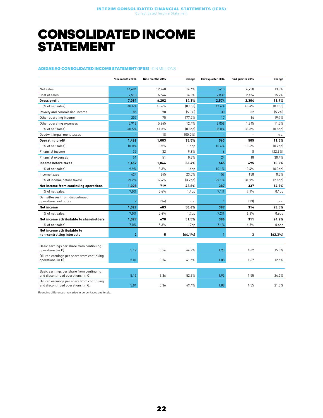### <span id="page-21-0"></span>CONSOLIDATED INCOME **STATEMENT**

#### ADIDAS AG CONSOLIDATED INCOME STATEMENT (IFRS) € IN MILLIONS

|                                                                                            | Nine months 2016 | Nine months 2015 | Change               | Third quarter 2016 | Third quarter 2015       | Change               |
|--------------------------------------------------------------------------------------------|------------------|------------------|----------------------|--------------------|--------------------------|----------------------|
| Net sales                                                                                  | 14.604           | 12,748           | 14.6%                | 5.413              | 4.758                    | 13.8%                |
| Cost of sales                                                                              | 7,513            | 6,546            | 14.8%                | 2,839              | 2,454                    | 15.7%                |
| Gross profit                                                                               | 7.091            | 6,202            | 14.3%                | 2.574              | 2.304                    | 11.7%                |
| (% of net sales)                                                                           | 48.6%            | 48.6%            | (0.1 <sub>pp</sub> ) | 47.6%              | 48.4%                    | (0.9 <sub>pp</sub> ) |
| Royalty and commission income                                                              | 85               | 90               | $(5.0\%)$            | 30                 | 32                       | (5.2%)               |
| Other operating income                                                                     | 207              | 75               | 177.2%               | 17                 | 14                       | 19.7%                |
| Other operating expenses                                                                   | 5,916            | 5,265            | 12.4%                | 2,058              | 1.845                    | 11.5%                |
| (% of net sales)                                                                           | 40.5%            | 41.3%            | (0.8 <sub>pp</sub> ) | 38.0%              | 38.8%                    | (0.8 <sub>pp</sub> ) |
| Goodwill impairment losses                                                                 |                  | 18               | $[100.0\%]$          |                    | $\overline{\phantom{0}}$ | n.a.                 |
| <b>Operating profit</b>                                                                    | 1,468            | 1,083            | 35.5%                | 563                | 505                      | 11.5%                |
| [% of net sales]                                                                           | 10.0%            | 8.5%             | 1.6 <sub>pp</sub>    | 10.4%              | 10.6%                    | (0.2 <sub>pp</sub> ) |
| Financial income                                                                           | 35               | 32               | 9.8%                 | $\overline{6}$     | 8                        | [22.9%]              |
| Financial expenses                                                                         | 51               | 51               | 0.3%                 | 24                 | 18                       | 30.4%                |
| Income before taxes                                                                        | 1,452            | 1,064            | 36.4%                | 545                | 495                      | 10.2%                |
| [% of net sales]                                                                           | 9.9%             | 8.3%             | 1.6 <sub>pp</sub>    | 10.1%              | 10.4%                    | [0.3 <sub>pp</sub> ] |
| Income taxes                                                                               | 424              | 345              | 23.0%                | 159                | 158                      | 0.5%                 |
| (% of income before taxes)                                                                 | 29.2%            | 32.4%            | (3.2pp)              | 29.1%              | 31.9%                    | (2.8 <sub>pp</sub> ) |
| Net income from continuing operations                                                      | 1,028            | 719              | 42.8%                | 387                | 337                      | 14.7%                |
| [% of net sales]                                                                           | 7.0%             | 5.6%             | 1.4 <sub>pp</sub>    | 7.1%               | 7.1%                     | 0.1 <sub>pp</sub>    |
| Gains/(losses) from discontinued<br>operations, net of tax                                 | $\overline{2}$   | [36]             | n.a.                 |                    | (23)                     | n.a.                 |
| <b>Net income</b>                                                                          | 1.029            | 683              | 50.6%                | 387                | 314                      | 23.5%                |
| [% of net sales]                                                                           | 7.0%             | 5.4%             | 1.7 <sub>pp</sub>    | 7.2%               | 6.6%                     | 0.6 <sub>pp</sub>    |
| Net income attributable to shareholders                                                    | 1,027            | 678              | 51.5%                | 386                | 311                      | 24.2%                |
| (% of net sales)                                                                           | 7.0%             | 5.3%             | 1.7 <sub>pp</sub>    | 7.1%               | 6.5%                     | 0.6 <sub>pp</sub>    |
| Net income attributable to<br>non-controlling interests                                    | $\overline{2}$   | 5                | [64.1%]              | 1                  | 3                        | [62.3%]              |
| Basic earnings per share from continuing<br>operations (in $\epsilon$ )                    | 5.12             | 3.54             | 44.9%                | 1.93               | 1.67                     | 15.3%                |
| Diluted earnings per share from continuing<br>operations (in €)                            | 5.01             | 3.54             | 41.6%                | 1.88               | 1.67                     | 12.6%                |
| Basic earnings per share from continuing<br>and discontinued operations (in $\epsilon$ )   | 5.13             | 3.36             | 52.9%                | 1.93               | 1.55                     | 24.2%                |
| Diluted earnings per share from continuing<br>and discontinued operations (in $\epsilon$ ) | 5.01             | 3.36             | 49.4%                | 1.88               | 1.55                     | 21.3%                |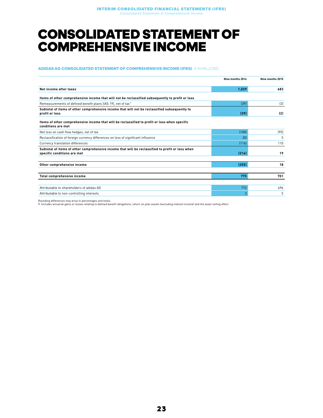### <span id="page-22-0"></span>CONSOLIDATED STATEMENT OF COMPREHENSIVE INCOME

#### ADIDAS AG CONSOLIDATED STATEMENT OF COMPREHENSIVE INCOME (IFRS) € IN MILLIONS

|                                                                                                                                 | Nine months 2016 | Nine months 2015 |
|---------------------------------------------------------------------------------------------------------------------------------|------------------|------------------|
| Net income after taxes                                                                                                          | 1,029            | 683              |
| Items of other comprehensive income that will not be reclassified subsequently to profit or loss                                |                  |                  |
| Remeasurements of defined benefit plans (IAS 19), net of tax <sup>1</sup>                                                       | [39]             | (2)              |
| Subtotal of items of other comprehensive income that will not be reclassified subsequently to<br>profit or loss                 | (39)             | (2)              |
| Items of other comprehensive income that will be reclassified to profit or loss when specific<br>conditions are met             |                  |                  |
| Net loss on cash flow hedges, net of tax                                                                                        | (100)            | (95)             |
| Reclassification of foreign currency differences on loss of significant influence                                               | (0)              | 5                |
| Currency translation differences                                                                                                | [116]            | 110              |
| Subtotal of items of other comprehensive income that will be reclassified to profit or loss when<br>specific conditions are met | (216)            | 19               |
|                                                                                                                                 |                  |                  |
| Other comprehensive income                                                                                                      | (255)            | 18               |
|                                                                                                                                 |                  |                  |
| Total comprehensive income                                                                                                      | 775              | 701              |
| Attributable to shareholders of adidas AG                                                                                       | 772              | 696              |
| Attributable to non-controlling interests                                                                                       | g                | 5                |

Rounding differences may arise in percentages and totals.

1 Includes actuarial gains or losses relating to defined benefit obligations, return on plan assets (excluding interest income) and the asset ceiling effect.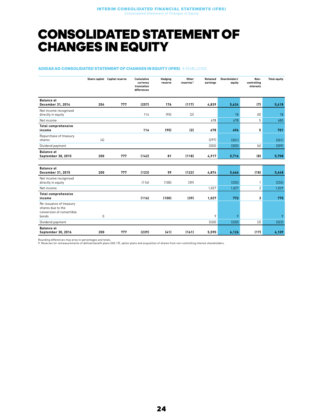### <span id="page-23-0"></span>CONSOLIDATED STATEMENT OF CHANGES IN EQUITY

#### ADIDAS AG CONSOLIDATED STATEMENT OF CHANGES IN EQUITY (IFRS) € IN MILLIONS

|                                                                                    |     | Share capital Capital reserve | <b>Cumulative</b><br>currency<br>translation<br>differences | Hedging<br>reserve | Other<br>reserves <sup>1</sup> | <b>Retained</b><br>earnings | Shareholders'<br>equity | Non-<br>controlling<br>interests | <b>Total equity</b> |
|------------------------------------------------------------------------------------|-----|-------------------------------|-------------------------------------------------------------|--------------------|--------------------------------|-----------------------------|-------------------------|----------------------------------|---------------------|
| <b>Balance at</b><br>December 31, 2014                                             | 204 | 777                           | (257)                                                       | 176                | (117)                          | 4,839                       | 5,624                   | (7)                              | 5,618               |
| Net income recognised<br>directly in equity                                        |     |                               | 114                                                         | (95)               | (2)                            |                             | 18                      | (0)                              | 18                  |
| Net income                                                                         |     |                               |                                                             |                    |                                | 678                         | 678                     | 5                                | 683                 |
| <b>Total comprehensive</b><br>income                                               |     |                               | 114                                                         | (95)               | (2)                            | 678                         | 696                     | 5                                | 701                 |
| Repurchase of treasury<br>shares                                                   | (4) |                               |                                                             |                    |                                | [297]                       | (301)                   |                                  | (301)               |
| Dividend payment                                                                   |     |                               |                                                             |                    |                                | (303)                       | [303]                   | [6]                              | (309)               |
| <b>Balance at</b><br>September 30, 2015                                            | 200 | 777                           | (142)                                                       | 81                 | (118)                          | 4,917                       | 5,716                   | (8)                              | 5,708               |
|                                                                                    |     |                               |                                                             |                    |                                |                             |                         |                                  |                     |
| <b>Balance</b> at<br>December 31, 2015                                             | 200 | 777                           | (123)                                                       | 59                 | (122)                          | 4,874                       | 5,666                   | (18)                             | 5,648               |
| Net income recognised<br>directly in equity                                        |     |                               | (116)                                                       | (100)              | (39)                           |                             | (255)                   | $\mathbf{1}$                     | (255)               |
| Net income                                                                         |     |                               |                                                             |                    |                                | 1,027                       | 1,027                   | $\overline{2}$                   | 1,029               |
| <b>Total comprehensive</b><br>income                                               |     |                               | (116)                                                       | (100)              | (39)                           | 1,027                       | 772                     | 3                                | 775                 |
| Re-issuance of treasury<br>shares due to the<br>conversion of convertible<br>bonds | 0   |                               |                                                             |                    |                                | 9                           | 9                       |                                  | 9                   |
| Dividend payment                                                                   |     |                               |                                                             |                    |                                | (320)                       | (320)                   | (2)                              | (322)               |
| <b>Balance at</b><br>September 30, 2016                                            | 200 | 777                           | (239)                                                       | (41)               | (161)                          | 5,590                       | 6,126                   | (17)                             | 6,109               |

Rounding differences may arise in percentages and totals.

1 Reserves for remeasurements of defined benefit plans (IAS 19), option plans and acquisition of shares from non-controlling interest shareholders.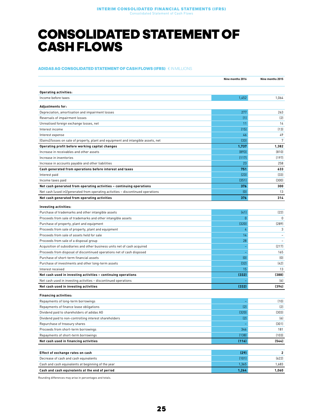### <span id="page-24-0"></span>CONSOLIDATED STATEMENT OF CASH FLOWS

#### ADIDAS AG CONSOLIDATED STATEMENT OF CASH FLOWS (IFRS) € IN MILLIONS

|                                                                                    | Nine months 2016 | Nine months 2015 |
|------------------------------------------------------------------------------------|------------------|------------------|
| <b>Operating activities:</b>                                                       |                  |                  |
| Income before taxes                                                                | 1,452            | 1,064            |
| <b>Adjustments for:</b>                                                            |                  |                  |
| Depreciation, amortisation and impairment losses                                   | 277              | 263              |
| Reversals of impairment losses                                                     | (1)              | (2)              |
| Unrealised foreign exchange losses, net                                            | 11               | 14               |
| Interest income                                                                    | (15)             | (13)             |
| Interest expense                                                                   | 46               | 49               |
| (Gains)/losses on sale of property, plant and equipment and intangible assets, net | (33)             | 7                |
| Operating profit before working capital changes                                    | 1,737            | 1,382            |
| Increase in receivables and other assets                                           | [893]            | (810)            |
| Increase in inventories                                                            | (117)            | (197)            |
| Increase in accounts payable and other liabilities                                 | 23               | 258              |
| Cash generated from operations before interest and taxes                           | 751              | 633              |
| Interest paid                                                                      | [23]             | [33]             |
| Income taxes paid                                                                  | (351)            | (300)            |
| Net cash generated from operating activities - continuing operations               | 376              | 300              |
| Net cash (used in)/generated from operating activities - discontinued operations   | (0)              | 13               |
| Net cash generated from operating activities                                       | 376              | 314              |
| Investing activities:                                                              |                  |                  |
| Purchase of trademarks and other intangible assets                                 | (41)             | (22)             |
| Proceeds from sale of trademarks and other intangible assets                       | $\overline{0}$   | 0                |
| Purchase of property, plant and equipment                                          | (320)            | (289)            |
| Proceeds from sale of property, plant and equipment                                | 4                | 3                |
| Proceeds from sale of assets held for sale                                         | 14               |                  |
| Proceeds from sale of a disposal group                                             | 28               |                  |
| Acquisition of subsidiaries and other business units net of cash acquired          | ÷                | (217)            |
| Proceeds from disposal of discontinued operations net of cash disposed             | ÷                | 165              |
| Purchase of short-term financial assets                                            | (0)              | [0]              |
| Purchase of investments and other long-term assets                                 | (32)             | (42)             |
| Interest received                                                                  | 15               | 13               |
| Net cash used in investing activities - continuing operations                      | (332)            | (388)            |
| Net cash used in investing activities - discontinued operations                    |                  | (6)              |
| Net cash used in investing activities                                              | (332)            | (394)            |
| <b>Financing activities:</b>                                                       |                  |                  |
| Repayments of long-term borrowings                                                 |                  | (10)             |
| Repayments of finance lease obligations                                            | [2]              | (2)              |
| Dividend paid to shareholders of adidas AG                                         | (320)            | (303)            |
| Dividend paid to non-controlling interest shareholders                             | (2)              | (6)              |
| Repurchase of treasury shares                                                      |                  | (301)            |
| Proceeds from short-term borrowings                                                | 346              | 181              |
| Repayments of short-term borrowings                                                | (138)            | (103)            |
| Net cash used in financing activities                                              | (116)            | (544)            |
|                                                                                    |                  |                  |
| Effect of exchange rates on cash                                                   | (29)             | $\overline{2}$   |
| Decrease of cash and cash equivalents                                              | (101)            | (622)            |
| Cash and cash equivalents at beginning of the year                                 | 1,365            | 1,683            |
| Cash and cash equivalents at the end of period                                     | 1,264            | 1,060            |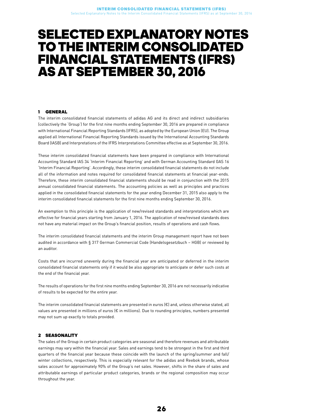### <span id="page-25-0"></span>SELECTED EXPLANATORY NOTES TO THE INTERIM CONSOLIDATED FINANCIAL STATEMENTS (IFRS) ASATSEPTEMBER 30, 2016

#### 1 GENERAL

The interim consolidated financial statements of adidas AG and its direct and indirect subsidiaries (collectively the 'Group') for the first nine months ending September 30, 2016 are prepared in compliance with International Financial Reporting Standards (IFRS), as adopted by the European Union (EU). The Group applied all International Financial Reporting Standards issued by the International Accounting Standards Board (IASB) and Interpretations of the IFRS Interpretations Committee effective as at September 30, 2016.

These interim consolidated financial statements have been prepared in compliance with International Accounting Standard IAS 34 'Interim Financial Reporting' and with German Accounting Standard GAS 16 'Interim Financial Reporting'. Accordingly, these interim consolidated financial statements do not include all of the information and notes required for consolidated financial statements at financial year-ends. Therefore, these interim consolidated financial statements should be read in conjunction with the 2015 annual consolidated financial statements. The accounting policies as well as principles and practices applied in the consolidated financial statements for the year ending December 31, 2015 also apply to the interim consolidated financial statements for the first nine months ending September 30, 2016.

An exemption to this principle is the application of new/revised standards and interpretations which are effective for financial years starting from January 1, 2016. The application of new/revised standards does not have any material impact on the Group's financial position, results of operations and cash flows.

The interim consolidated financial statements and the interim Group management report have not been audited in accordance with § 317 German Commercial Code (Handelsgesetzbuch – HGB) or reviewed by an auditor.

Costs that are incurred unevenly during the financial year are anticipated or deferred in the interim consolidated financial statements only if it would be also appropriate to anticipate or defer such costs at the end of the financial year.

The results of operations for the first nine months ending September 30, 2016 are not necessarily indicative of results to be expected for the entire year.

The interim consolidated financial statements are presented in euros (€) and, unless otherwise stated, all values are presented in millions of euros (€ in millions). Due to rounding principles, numbers presented may not sum up exactly to totals provided.

#### 2 SEASONALITY

The sales of the Group in certain product categories are seasonal and therefore revenues and attributable earnings may vary within the financial year. Sales and earnings tend to be strongest in the first and third quarters of the financial year because these coincide with the launch of the spring/summer and fall/ winter collections, respectively. This is especially relevant for the adidas and Reebok brands, whose sales account for approximately 90% of the Group's net sales. However, shifts in the share of sales and attributable earnings of particular product categories, brands or the regional composition may occur throughout the year.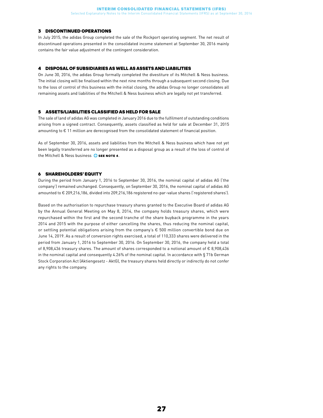#### 3 DISCONTINUED OPERATIONS

In July 2015, the adidas Group completed the sale of the Rockport operating segment. The net result of discontinued operations presented in the consolidated income statement at September 30, 2016 mainly contains the fair value adjustment of the contingent consideration.

#### 4 DISPOSAL OF SUBSIDIARIES AS WELL AS ASSETS AND LIABILITIES

On June 30, 2016, the adidas Group formally completed the divestiture of its Mitchell & Ness business. The initial closing will be finalised within the next nine months through a subsequent second closing. Due to the loss of control of this business with the initial closing, the adidas Group no longer consolidates all remaining assets and liabilities of the Mitchell & Ness business which are legally not yet transferred.

#### 5 ASSETS/LIABILITIES CLASSIFIED AS HELD FOR SALE

The sale of land of adidas AG was completed in January 2016 due to the fulfilment of outstanding conditions arising from a signed contract. Consequently, assets classified as held for sale at December 31, 2015 amounting to € 11 million are derecognised from the consolidated statement of financial position.

As of September 30, 2016, assets and liabilities from the Mitchell & Ness business which have not yet been legally transferred are no longer presented as a disposal group as a result of the loss of control of the Mitchell & Ness business  $\bullet$  see note 4.

#### 6 SHAREHOLDERS' EQUITY

During the period from January 1, 2016 to September 30, 2016, the nominal capital of adidas AG ('the company') remained unchanged. Consequently, on September 30, 2016, the nominal capital of adidas AG amounted to € 209,216,186, divided into 209,216,186 registered no-par-value shares ('registered shares').

Based on the authorisation to repurchase treasury shares granted to the Executive Board of adidas AG by the Annual General Meeting on May 8, 2014, the company holds treasury shares, which were repurchased within the first and the second tranche of the share buyback programme in the years 2014 and 2015 with the purpose of either cancelling the shares, thus reducing the nominal capital, or settling potential obligations arising from the company's € 500 million convertible bond due on June 14, 2019. As a result of conversion rights exercised, a total of 110,333 shares were delivered in the period from January 1, 2016 to September 30, 2016. On September 30, 2016, the company held a total of 8,908,436 treasury shares. The amount of shares corresponded to a notional amount of € 8,908,436 in the nominal capital and consequently 4.26% of the nominal capital. In accordance with § 71b German Stock Corporation Act (Aktiengesetz - AktG), the treasury shares held directly or indirectly do not confer any rights to the company.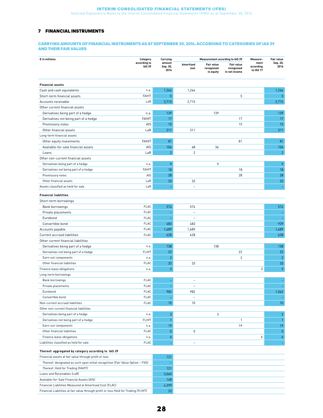#### 7 FINANCIAL INSTRUMENTS

#### CARRYING AMOUNTS OF FINANCIAL INSTRUMENTS AS AT SEPTEMBER 30, 2016, ACCORDING TO CATEGORIES OF IAS 39 AND THEIR FAIR VALUES

| $\epsilon$ in millions                                                              | Category      | Carrying         | <b>Measurement according to IAS 39</b> |                         |                             | Measure-               | Fair value       |
|-------------------------------------------------------------------------------------|---------------|------------------|----------------------------------------|-------------------------|-----------------------------|------------------------|------------------|
|                                                                                     | according to  | amount           | Amortised                              | <b>Fair value</b>       | <b>Fair value</b>           | ment                   | Sep. 30,         |
|                                                                                     | <b>IAS 39</b> | Sep. 30,<br>2016 | cost                                   | recognised<br>in equity | recognised<br>in net income | according<br>to IAS 17 | 2016             |
|                                                                                     |               |                  |                                        |                         |                             |                        |                  |
| <b>Financial assets</b>                                                             |               |                  |                                        |                         |                             |                        |                  |
| Cash and cash equivalents                                                           | n.a.          | 1,264            | 1,264                                  |                         |                             |                        | 1,264            |
| Short-term financial assets                                                         | FAHfT         | 5                |                                        |                         | 5                           |                        | 5.               |
| Accounts receivable                                                                 | LaR           | 2,715            | 2,715                                  |                         |                             |                        | 2,715            |
| Other current financial assets                                                      |               |                  |                                        |                         |                             |                        |                  |
| Derivatives being part of a hedge                                                   | n.a.          | 139              |                                        | 139                     |                             |                        | 139              |
| Derivatives not being part of a hedge                                               | FAHfT         | 17               |                                        |                         | 17                          |                        | 17               |
| Promissory notes                                                                    | AfS           | 15               |                                        |                         | 15                          |                        | 15               |
| Other financial assets                                                              | LaR           | 311              | 311                                    |                         |                             |                        | 311              |
| Long-term financial assets                                                          |               |                  |                                        |                         |                             |                        |                  |
| Other equity investments                                                            | FAHfT         | 81               |                                        |                         | 81                          |                        | 81               |
| Available-for-sale financial assets                                                 | AfS           | 104              | 68                                     | 36                      |                             |                        | 104              |
| Loans                                                                               | LaR           | $\overline{2}$   | $\overline{c}$                         |                         |                             |                        | $\overline{2}$   |
| Other non-current financial assets                                                  |               |                  |                                        |                         |                             |                        |                  |
| Derivatives being part of a hedge                                                   | n.a.          | 9                |                                        | 9                       |                             |                        | 9                |
| Derivatives not being part of a hedge                                               | FAHfT         | 18               |                                        |                         | 18                          |                        | 18               |
| Promissory notes                                                                    | AfS           | 28               |                                        |                         | 28                          |                        | 28               |
| Other financial assets                                                              | LaR           | 33               | 33                                     |                         |                             |                        | 33               |
| Assets classified as held for sale                                                  | LaR           |                  | $\overline{a}$                         |                         |                             |                        |                  |
| <b>Financial liabilities</b>                                                        |               |                  |                                        |                         |                             |                        |                  |
| Short-term borrowings                                                               |               |                  |                                        |                         |                             |                        |                  |
| Bank borrowings                                                                     | FLAC          | 574              | 574                                    |                         |                             |                        | 574              |
| Private placements                                                                  | <b>FLAC</b>   |                  | $\overline{\phantom{0}}$               |                         |                             |                        |                  |
| Eurobond                                                                            | FLAC          |                  | $\overline{a}$                         |                         |                             |                        |                  |
| Convertible bond                                                                    | <b>FLAC</b>   | 483              | 483                                    |                         |                             |                        | 929              |
| Accounts payable                                                                    | <b>FLAC</b>   | 1,689            | 1,689                                  |                         |                             |                        | 1,689            |
| Current accrued liabilities                                                         | FLAC          | 628              | 628                                    |                         |                             |                        | 628              |
| Other current financial liabilities                                                 |               |                  |                                        |                         |                             |                        |                  |
| Derivatives being part of a hedge                                                   | n.a.          | 138              |                                        | 138                     |                             |                        | 138              |
| Derivatives not being part of a hedge                                               | <b>FLHfT</b>  | 22               |                                        |                         | 22                          |                        | 22               |
| Earn-out components                                                                 | n.a.          | $\overline{2}$   |                                        |                         | $\overline{2}$              |                        | $\overline{2}$   |
| Other financial liabilities                                                         | <b>FLAC</b>   | 33               | 33                                     |                         |                             |                        | 33               |
| Finance lease obligations                                                           | n.a.          | 3                |                                        |                         |                             | 3                      | 3                |
| Long-term borrowings                                                                |               |                  |                                        |                         |                             |                        |                  |
| Bank borrowings                                                                     | <b>FLAC</b>   |                  | $\overline{a}$                         |                         |                             |                        |                  |
| Private placements                                                                  | <b>FLAC</b>   |                  |                                        |                         |                             |                        |                  |
| Eurobond                                                                            | <b>FLAC</b>   | 982              | 982                                    |                         |                             |                        | 1,062            |
| Convertible bond                                                                    | <b>FLAC</b>   |                  |                                        |                         |                             |                        |                  |
| Non-current accrued liabilities                                                     | <b>FLAC</b>   | 10               | $\overline{a}$<br>10                   |                         |                             |                        | 10               |
| Other non-current financial liabilities                                             |               |                  |                                        |                         |                             |                        |                  |
| Derivatives being part of a hedge                                                   |               | 3                |                                        | 3                       |                             |                        | $\mathbf{3}$     |
|                                                                                     | n.a.<br>FLHfT | $\mathbf{1}$     |                                        |                         | 1                           |                        | $\mathbf{1}$     |
| Derivatives not being part of a hedge                                               |               |                  |                                        |                         |                             |                        |                  |
| Earn-out components                                                                 | n.a.          | 19               |                                        |                         | 19                          |                        | 19               |
| Other financial liabilities                                                         | <b>FLAC</b>   | $\pmb{0}$        | $\mathbb O$                            |                         |                             |                        | $\mathbf{0}$     |
| Finance lease obligations                                                           | n.a.          | 6                |                                        |                         |                             | 6                      | $\boldsymbol{6}$ |
| Liabilities classified as held for sale                                             | <b>FLAC</b>   |                  | $\overline{a}$                         |                         |                             |                        |                  |
| Thereof: aggregated by category according to IAS 39                                 |               |                  |                                        |                         |                             |                        |                  |
| Financial assets at fair value through profit or loss                               |               | 121              |                                        |                         |                             |                        |                  |
| Thereof: designated as such upon initial recognition (Fair Value Option - FVO)      |               | ÷                |                                        |                         |                             |                        |                  |
| Thereof: Held for Trading (FAHfT)                                                   |               | 121              |                                        |                         |                             |                        |                  |
| Loans and Receivables (LaR)                                                         |               | 3,060            |                                        |                         |                             |                        |                  |
| Available-for-Sale Financial Assets (AfS)                                           |               | 148              |                                        |                         |                             |                        |                  |
| Financial Liabilities Measured at Amortised Cost (FLAC)                             |               | 4,399            |                                        |                         |                             |                        |                  |
| Financial Liabilities at fair value through profit or loss Held for Trading (FLHfT) |               | 23               |                                        |                         |                             |                        |                  |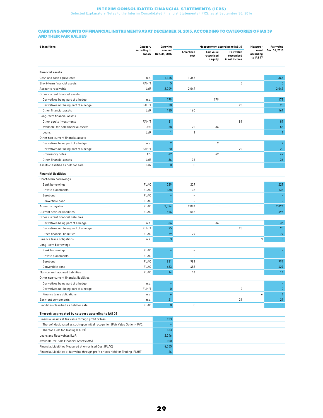Selected Explanatory Notes to the Interim Consolidated Financial Statements (IFRS) as at September 30, 2016

#### CARRYING AMOUNTS OF FINANCIAL INSTRUMENTS AS AT DECEMBER 31, 2015, ACCORDING TO CATEGORIES OF IAS 39 AND THEIR FAIR VALUES

| $\epsilon$ in millions                                                              | Category                      | Carrying                | <b>Measurement according to IAS 39</b> |                                              |                                           | Measure-                       | <b>Fair value</b> |
|-------------------------------------------------------------------------------------|-------------------------------|-------------------------|----------------------------------------|----------------------------------------------|-------------------------------------------|--------------------------------|-------------------|
|                                                                                     | according to<br><b>IAS 39</b> | amount<br>Dec. 31, 2015 | <b>Amortised</b><br>cost               | <b>Fair value</b><br>recognised<br>in equity | Fair value<br>recognised<br>in net income | ment<br>according<br>to IAS 17 | Dec. 31, 2015     |
| <b>Financial assets</b>                                                             |                               |                         |                                        |                                              |                                           |                                |                   |
| Cash and cash equivalents                                                           | n.a.                          | 1,365                   | 1,365                                  |                                              |                                           |                                | 1,365             |
| Short-term financial assets                                                         | <b>FAHfT</b>                  | $\overline{5}$          |                                        |                                              | 5                                         |                                | 5                 |
| Accounts receivable                                                                 | LaR                           | 2,049                   | 2,049                                  |                                              |                                           |                                | 2,049             |
| Other current financial assets                                                      |                               |                         |                                        |                                              |                                           |                                |                   |
| Derivatives being part of a hedge                                                   | n.a.                          | 179                     |                                        | 179                                          |                                           |                                | 179               |
| Derivatives not being part of a hedge                                               | <b>FAHfT</b>                  | 28                      |                                        |                                              | 28                                        |                                | 28                |
| Other financial assets                                                              | LaR                           | 160                     | 160                                    |                                              |                                           |                                | 161               |
| Long-term financial assets                                                          |                               |                         |                                        |                                              |                                           |                                |                   |
| Other equity investments                                                            | <b>FAHfT</b>                  | 81                      |                                        |                                              | 81                                        |                                | 81                |
| Available-for-sale financial assets                                                 | AfS                           | 58                      | 22                                     | 36                                           |                                           |                                | 58                |
| Loans                                                                               | LaR                           | $\mathbf{1}$            | $\mathbf{1}$                           |                                              |                                           |                                | $\mathbf{1}$      |
| Other non-current financial assets                                                  |                               |                         |                                        |                                              |                                           |                                |                   |
| Derivatives being part of a hedge                                                   | n.a.                          | $\overline{2}$          |                                        | $\overline{2}$                               |                                           |                                | $\overline{2}$    |
| Derivatives not being part of a hedge                                               | <b>FAHfT</b>                  | 20                      |                                        |                                              | 20                                        |                                | 20                |
| Promissory notes                                                                    | AfS                           | 42                      |                                        | 42                                           |                                           |                                | 42                |
| Other financial assets                                                              | $_{\sf{LaR}}$                 | 36                      | 36                                     |                                              |                                           |                                | 36                |
| Assets classified as held for sale                                                  | LaR                           | $\pmb{0}$               | 0                                      |                                              |                                           |                                | $\pmb{0}$         |
|                                                                                     |                               |                         |                                        |                                              |                                           |                                |                   |
| <b>Financial liabilities</b>                                                        |                               |                         |                                        |                                              |                                           |                                |                   |
| Short-term borrowings                                                               |                               |                         |                                        |                                              |                                           |                                |                   |
| Bank borrowings                                                                     | FLAC                          | 229                     | 229                                    |                                              |                                           |                                | 229               |
| Private placements                                                                  | <b>FLAC</b>                   | 138                     | 138                                    |                                              |                                           |                                | 138               |
| Eurobond                                                                            | <b>FLAC</b>                   | Ξ                       | $\overline{\phantom{a}}$               |                                              |                                           |                                |                   |
| Convertible bond                                                                    | <b>FLAC</b><br><b>FLAC</b>    |                         | $\sim$                                 |                                              |                                           |                                |                   |
| Accounts payable                                                                    |                               | 2,024                   | 2,024                                  |                                              |                                           |                                | 2,024<br>596      |
| Current accrued liabilities<br>Other current financial liabilities                  | <b>FLAC</b>                   | 596                     | 596                                    |                                              |                                           |                                |                   |
|                                                                                     |                               |                         |                                        |                                              |                                           |                                |                   |
| Derivatives being part of a hedge                                                   | n.a.                          | 36<br>25                |                                        | 36                                           |                                           |                                | 36                |
| Derivatives not being part of a hedge                                               | FLHfT                         |                         |                                        |                                              | 25                                        |                                | 25                |
| Other financial liabilities                                                         | FLAC                          | 79                      | 79                                     |                                              |                                           |                                | 79                |
| Finance lease obligations                                                           | n.a.                          | 3                       |                                        |                                              |                                           | 3                              | 3                 |
| Long-term borrowings                                                                |                               |                         |                                        |                                              |                                           |                                |                   |
| Bank borrowings                                                                     | <b>FLAC</b>                   | ۳                       | $\equiv$                               |                                              |                                           |                                | ٠                 |
| Private placements                                                                  | FLAC                          | $\equiv$                | $\overline{\phantom{a}}$               |                                              |                                           |                                |                   |
| Eurobond                                                                            | <b>FLAC</b>                   | 981                     | 981                                    |                                              |                                           |                                | 997               |
| Convertible bond                                                                    | <b>FLAC</b>                   | 483                     | 483                                    |                                              |                                           |                                | 629               |
| Non-current accrued liabilities                                                     | <b>FLAC</b>                   | 14                      | 14                                     |                                              |                                           |                                | 14                |
| Other non-current financial liabilities                                             |                               |                         |                                        |                                              |                                           |                                |                   |
| Derivatives being part of a hedge                                                   | n.a.                          | ÷                       |                                        |                                              |                                           |                                |                   |
| Derivatives not being part of a hedge                                               | <b>FLHfT</b>                  | $\pmb{0}$               |                                        |                                              | 0                                         |                                | $\pmb{0}$         |
| Finance lease obligations                                                           | n.a.                          | 6                       |                                        |                                              |                                           | 6                              | $\pmb{6}$         |
| Earn-out components                                                                 | n.a.                          | 21                      |                                        |                                              | 21                                        |                                | 21                |
| Liabilities classified as held for sale                                             | FLAC                          | $\pmb{0}$               | 0                                      |                                              |                                           |                                | $\pmb{0}$         |
| Thereof: aggregated by category according to IAS 39                                 |                               |                         |                                        |                                              |                                           |                                |                   |
| Financial assets at fair value through profit or loss                               |                               | 133                     |                                        |                                              |                                           |                                |                   |
| Thereof: designated as such upon initial recognition (Fair Value Option - FVO)      |                               |                         |                                        |                                              |                                           |                                |                   |
| Thereof: Held for Trading (FAHfT)                                                   |                               | 133                     |                                        |                                              |                                           |                                |                   |
| Loans and Receivables (LaR)                                                         |                               | 2,246                   |                                        |                                              |                                           |                                |                   |
| Available-for-Sale Financial Assets (AfS)                                           |                               | 100                     |                                        |                                              |                                           |                                |                   |
| Financial Liabilities Measured at Amortised Cost (FLAC)                             |                               | 4,555                   |                                        |                                              |                                           |                                |                   |
| Financial Liabilities at fair value through profit or loss Held for Trading (FLHfT) |                               | 26                      |                                        |                                              |                                           |                                |                   |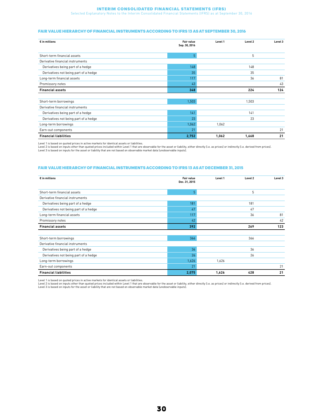Selected Explanatory Notes to the Interim Consolidated Financial Statements (IFRS) as at September 30, 2016

#### FAIR VALUE HIERARCHY OF FINANCIAL INSTRUMENTS ACCORDING TO IFRS 13 AS AT SEPTEMBER 30, 2016

| $\epsilon$ in millions                | <b>Fair value</b><br>Sep. 30, 2016 | Level 1 | Level 2 | Level 3 |
|---------------------------------------|------------------------------------|---------|---------|---------|
| Short-term financial assets           | 5                                  |         | 5       |         |
| Derivative financial instruments      |                                    |         |         |         |
| Derivatives being part of a hedge     | 148                                |         | 148     |         |
| Derivatives not being part of a hedge | 35                                 |         | 35      |         |
| Long-term financial assets            | 117                                |         | 36      | 81      |
| Promissory notes                      | 43                                 |         |         | 43      |
| <b>Financial assets</b>               | 348                                |         | 224     | 124     |
|                                       |                                    |         |         |         |
| Short-term borrowings                 | 1,503                              |         | 1,503   |         |
| Derivative financial instruments      |                                    |         |         |         |
| Derivatives being part of a hedge     | 141                                |         | 141     |         |
| Derivatives not being part of a hedge | 23                                 |         | 23      |         |
| Long-term borrowings                  | 1,062                              | 1,062   |         |         |
| Earn-out components                   | 21                                 |         |         | 21      |
| <b>Financial liabilities</b>          | 2,752                              | 1,062   | 1,668   | 21      |

Level 1 is based on quoted prices in active markets for identical assets or liabilities.

Level 2 is based on inputs other than quoted prices included within Level 1 that are observable for the asset or liability, either directly (i.e. as prices) or indirectly (i.e. derived from prices).<br>Level 3 is based on inp

#### FAIR VALUE HIERARCHY OF FINANCIAL INSTRUMENTS ACCORDING TO IFRS 13 AS AT DECEMBER 31, 2015

| $\epsilon$ in millions                | <b>Fair value</b><br>Dec. 31, 2015 | Level 1 | Level 2 | Level 3 |
|---------------------------------------|------------------------------------|---------|---------|---------|
| Short-term financial assets           | 5                                  |         | 5       |         |
| Derivative financial instruments      |                                    |         |         |         |
| Derivatives being part of a hedge     | 181                                |         | 181     |         |
| Derivatives not being part of a hedge | 47                                 |         | 47      |         |
| Long-term financial assets            | 117                                |         | 36      | 81      |
| Promissory notes                      | 42                                 |         |         | 42      |
| <b>Financial assets</b>               | 392                                |         | 269     | 123     |
| Short-term borrowings                 | 366                                |         | 366     |         |
| Derivative financial instruments      |                                    |         |         |         |
| Derivatives being part of a hedge     | 36                                 |         | 36      |         |
| Derivatives not being part of a hedge | 26                                 |         | 26      |         |
| Long-term borrowings                  | 1,626                              | 1,626   |         |         |
| Earn-out components                   | 21                                 |         |         | 21      |
| <b>Financial liabilities</b>          | 2,075                              | 1,626   | 428     | 21      |

Level 1 is based on quoted prices in active markets for identical assets or liabilities.

Level 2 is based on inputs other than quoted prices included within Level 1 that are observable for the asset or liability, either directly (i.e. as prices) or indirectly (i.e. derived from prices).<br>Level 3 is based on inp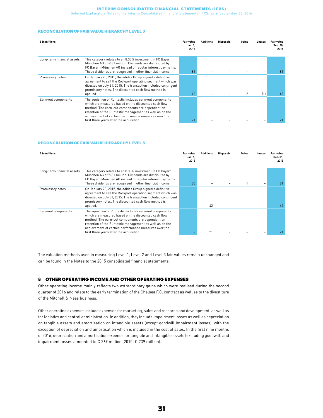Selected Explanatory Notes to the Interim Consolidated Financial Statements (IFRS) as at September 30, 2016

#### RECONCILIATION OF FAIR VALUE HIERARCHY LEVEL 3

| $\epsilon$ in millions     |                                                                                                                                                                                                                                                                                                                                     | Fair value<br>Jan. 1,<br>2016 | <b>Additions</b> | <b>Disposals</b> | Gains | Losses | <b>Fair value</b><br>Sep. 30,<br>2016 |
|----------------------------|-------------------------------------------------------------------------------------------------------------------------------------------------------------------------------------------------------------------------------------------------------------------------------------------------------------------------------------|-------------------------------|------------------|------------------|-------|--------|---------------------------------------|
| Long-term financial assets | This category relates to an 8.33% investment in FC Bayern<br>München AG of € 81 million. Dividends are distributed by<br>FC Bayern München AG instead of regular interest payments.<br>These dividends are recognised in other financial income.                                                                                    | 81                            |                  |                  |       |        | 81                                    |
| Promissory notes           | On January 23, 2015, the adidas Group signed a definitive<br>agreement to sell the Rockport operating segment which was<br>divested on July 31, 2015. The transaction included contingent<br>promissory notes. The discounted cash flow method is<br>applied.                                                                       | 42                            |                  |                  |       | (1)    | 43                                    |
| Earn-out components        | The aquisition of Runtastic includes earn-out components<br>which are measured based on the discounted cash flow<br>method. The earn-out components are dependent on<br>retention of the Runtastic management as well as on the<br>achievement of certain performance measures over the<br>first three years after the acquisition. | $2^{\circ}$                   |                  |                  |       |        |                                       |

#### RECONCILIATION OF FAIR VALUE HIERARCHY LEVEL 3

| $\epsilon$ in millions     |                                                                                                                                                                                                                                                                                                                                     | Fair value<br>Jan. 1,<br>2015 | <b>Additions</b> | <b>Disposals</b> | Gains | Losses | <b>Fair value</b><br>Dec. 31,<br>2015 |
|----------------------------|-------------------------------------------------------------------------------------------------------------------------------------------------------------------------------------------------------------------------------------------------------------------------------------------------------------------------------------|-------------------------------|------------------|------------------|-------|--------|---------------------------------------|
| Long-term financial assets | This category relates to an 8.33% investment in FC Bayern<br>München AG of $\epsilon$ 81 million. Dividends are distributed by<br>FC Bayern München AG instead of regular interest payments.<br>These dividends are recognised in other financial income.                                                                           | 80                            |                  |                  |       |        | 81                                    |
| Promissory notes           | On January 23, 2015, the adidas Group signed a definitive<br>agreement to sell the Rockport operating segment which was<br>divested on July 31, 2015. The transaction included contingent<br>promissory notes. The discounted cash flow method is<br>applied.                                                                       |                               | 42               |                  |       |        | 42                                    |
| Earn-out components        | The aquisition of Runtastic includes earn-out components<br>which are measured based on the discounted cash flow<br>method. The earn-out components are dependent on<br>retention of the Runtastic management as well as on the<br>achievement of certain performance measures over the<br>first three years after the acquisition. |                               | 21               |                  |       |        |                                       |

The valuation methods used in measuring Level 1, Level 2 and Level 3 fair values remain unchanged and can be found in the Notes to the 2015 consolidated financial statements.

#### 8 OTHER OPERATING INCOME AND OTHER OPERATING EXPENSES

Other operating income mainly reflects two extraordinary gains which were realised during the second quarter of 2016 and relate to the early termination of the Chelsea F.C. contract as well as to the divestiture of the Mitchell & Ness business.

Other operating expenses include expenses for marketing, sales and research and development, as well as for logistics and central administration. In addition, they include impairment losses as well as depreciation on tangible assets and amortisation on intangible assets (except goodwill impairment losses), with the exception of depreciation and amortisation which is included in the cost of sales. In the first nine months of 2016, depreciation and amortisation expense for tangible and intangible assets (excluding goodwill) and impairment losses amounted to € 269 million (2015: € 239 million).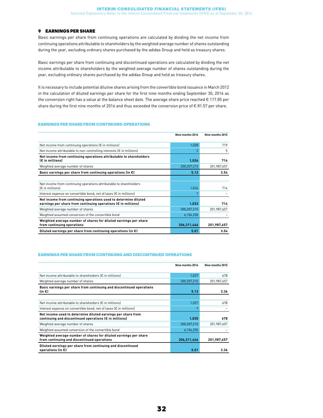#### 9 EARNINGS PER SHARE

Basic earnings per share from continuing operations are calculated by dividing the net income from continuing operations attributable to shareholders by the weighted average number of shares outstanding during the year, excluding ordinary shares purchased by the adidas Group and held as treasury shares.

Basic earnings per share from continuing and discontinued operations are calculated by dividing the net income attributable to shareholders by the weighted average number of shares outstanding during the year, excluding ordinary shares purchased by the adidas Group and held as treasury shares.

It is necessary to include potential dilutive shares arising from the convertible bond issuance in March 2012 in the calculation of diluted earnings per share for the first nine months ending September 30, 2016 as the conversion right has a value at the balance sheet date. The average share price reached € 117.85 per share during the first nine months of 2016 and thus exceeded the conversion price of € 81.57 per share.

#### EARNINGS PER SHARE FROM CONTINUING OPERATIONS

|                                                                                                                                  | Nine months 2016 | Nine months 2015 |
|----------------------------------------------------------------------------------------------------------------------------------|------------------|------------------|
| Net income from continuing operations $\left(\epsilon\right)$ in millions)                                                       | 1,028            | 719              |
| Net income attributable to non-controlling interests $\epsilon$ in millions)                                                     | $\overline{2}$   | 5                |
| Net income from continuing operations attributable to shareholders<br>(€ in millions)                                            | 1,026            | 714              |
| Weighted average number of shares                                                                                                | 200,207,215      | 201,987,657      |
| Basic earnings per share from continuing operations (in $\epsilon$ )                                                             | 5.12             | 3.54             |
|                                                                                                                                  |                  |                  |
| Net income from continuing operations attributable to shareholders<br>$E$ in millions)                                           | 1,026            | 714              |
| Interest expense on convertible bond, net of taxes $\epsilon$ in millions)                                                       | 7                |                  |
| Net income from continuing operations used to determine diluted<br>earnings per share from continuing operations (€ in millions) | 1.033            | 714              |
| Weighted average number of shares                                                                                                | 200,207,215      | 201,987,657      |
| Weighted assumed conversion of the convertible bond                                                                              | 6,104,250        |                  |
| Weighted average number of shares for diluted earnings per share<br>from continuing operations                                   | 206,311,466      | 201,987,657      |
| Diluted earnings per share from continuing operations (in $\epsilon$ )                                                           | 5.01             | 3.54             |

#### EARNINGS PER SHARE FROM CONTINUING AND DISCONTINUED OPERATIONS

|                                                                                                                        | Nine months 2016 | Nine months 2015 |
|------------------------------------------------------------------------------------------------------------------------|------------------|------------------|
| Net income attributable to shareholders $\mathfrak{k}$ in millions)                                                    | 1,027            | 678              |
| Weighted average number of shares                                                                                      | 200,207,215      | 201,987,657      |
| Basic earnings per share from continuing and discontinued operations<br>$(in \infty)$                                  | 5.13             | 3.36             |
|                                                                                                                        |                  |                  |
| Net income attributable to shareholders (€ in millions)                                                                | 1,027            | 678              |
| Interest expense on convertible bond, net of taxes $\left(\epsilon\right)$ in millions)                                | 7                |                  |
| Net income used to determine diluted earnings per share from<br>continuing and discontinued operations (€ in millions) | 1,035            | 678              |
| Weighted average number of shares                                                                                      | 200,207,215      | 201,987,657      |
| Weighted assumed conversion of the convertible bond                                                                    | 6,104,250        |                  |
| Weighted average number of shares for diluted earnings per share<br>from continuing and discontinued operations        | 206,311,466      | 201,987,657      |
| Diluted earnings per share from continuing and discontinued<br>operations (in $\epsilon$ )                             | 5.01             | 3.36             |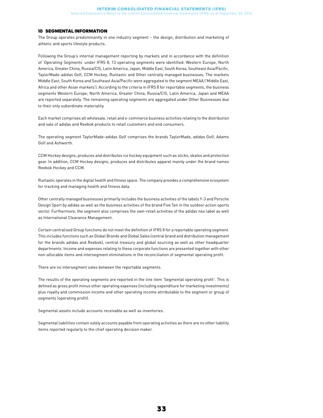#### 10 SEGMENTAL INFORMATION

The Group operates predominantly in one industry segment – the design, distribution and marketing of athletic and sports lifestyle products.

Following the Group's internal management reporting by markets and in accordance with the definition of 'Operating Segments' under IFRS 8, 13 operating segments were identified: Western Europe, North America, Greater China, Russia/CIS, Latin America, Japan, Middle East, South Korea, Southeast Asia/Pacific, TaylorMade-adidas Golf, CCM Hockey, Runtastic and Other centrally managed businesses. The markets Middle East, South Korea and Southeast Asia/Pacific were aggregated to the segment MEAA ('Middle East, Africa and other Asian markets'). According to the criteria in IFRS 8 for reportable segments, the business segments Western Europe, North America, Greater China, Russia/CIS, Latin America, Japan and MEAA are reported separately. The remaining operating segments are aggregated under Other Businesses due to their only subordinate materiality.

Each market comprises all wholesale, retail and e-commerce business activities relating to the distribution and sale of adidas and Reebok products to retail customers and end consumers.

The operating segment TaylorMade-adidas Golf comprises the brands TaylorMade, adidas Golf, Adams Golf and Ashworth.

CCM Hockey designs, produces and distributes ice hockey equipment such as sticks, skates and protection gear. In addition, CCM Hockey designs, produces and distributes apparel mainly under the brand names Reebok Hockey and CCM.

Runtastic operates in the digital health and fitness space. The company provides a comprehensive ecosystem for tracking and managing health and fitness data.

Other centrally managed businesses primarily includes the business activities of the labels Y-3 and Porsche Design Sport by adidas as well as the business activities of the brand Five Ten in the outdoor action sports sector. Furthermore, the segment also comprises the own-retail activities of the adidas neo label as well as International Clearance Management.

Certain centralised Group functions do not meet the definition of IFRS 8 for a reportable operating segment. This includes functions such as Global Brands and Global Sales (central brand and distribution management for the brands adidas and Reebok), central treasury and global sourcing as well as other headquarter departments. Income and expenses relating to these corporate functions are presented together with other non-allocable items and intersegment eliminations in the reconciliation of segmental operating profit.

There are no intersegment sales between the reportable segments.

The results of the operating segments are reported in the line item 'Segmental operating profit'. This is defined as gross profit minus other operating expenses (including expenditure for marketing investments) plus royalty and commission income and other operating income attributable to the segment or group of segments (operating profit).

Segmental assets include accounts receivable as well as inventories.

Segmental liabilities contain solely accounts payable from operating activities as there are no other liability items reported regularly to the chief operating decision maker.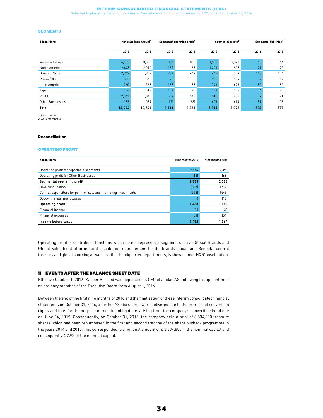Selected Explanatory Notes to the Interim Consolidated Financial Statements (IFRS) as at September 30, 2016

#### **SEGMENTS**

| $\epsilon$ in millions |        | Net sales (non-Group) <sup>1</sup> |       | Segmental operating profit <sup>1</sup> | Segmental assets <sup>2</sup> |       | Segmental liabilities <sup>2</sup> |      |
|------------------------|--------|------------------------------------|-------|-----------------------------------------|-------------------------------|-------|------------------------------------|------|
|                        | 2016   | 2015                               | 2016  | 2015                                    | 2016                          | 2015  | 2016                               | 2015 |
| Western Europe         | 4,185  | 3,508                              | 857   | 805                                     | 1,587                         | 1,327 | 65                                 | 64   |
| North America          | 2,443  | 2,010                              | 165   | 63                                      | 1,201                         | 908   | 71                                 | 75   |
| Greater China          | 2,269  | 1,852                              | 837   | 649                                     | 448                           | 379   | 148                                | 136  |
| Russia/CIS             | 505    | 562                                | 78    | 55                                      | 232                           | 194   | $\circ$                            | 12   |
| Latin America          | 1,260  | 1,368                              | 167   | 188                                     | 746                           | 678   | 80                                 | 85   |
| Japan                  | 736    | 518                                | 157   | 90                                      | 253                           | 236   | 34                                 | 25   |
| <b>MEAA</b>            | 2,067  | 1,845                              | 584   | 546                                     | 816                           | 656   | 87                                 | 71   |
| Other Businesses       | 1,139  | 1,084                              | (12)  | (68)                                    | 603                           | 694   | 89                                 | 108  |
| Total                  | 14.604 | 12,748                             | 2,833 | 2,328                                   | 5,885                         | 5,072 | 584                                | 577  |

1 Nine months. 2 At September 30.

#### Reconciliation

#### OPERATING PROFIT

| $\epsilon$ in millions                                          | Nine months 2016 | Nine months 2015 |
|-----------------------------------------------------------------|------------------|------------------|
|                                                                 |                  |                  |
| Operating profit for reportable segments                        | 2,844            | 2,396            |
| Operating profit for Other Businesses                           | (12)             | (68)             |
| Segmental operating profit                                      | 2,833            | 2,328            |
| HQ/Consolidation                                                | [837]            | (777)            |
| Central expenditure for point-of-sale and marketing investments | (528)            | [449]            |
| Goodwill impairment losses                                      | $\theta$         | [18]             |
| <b>Operating profit</b>                                         | 1,468            | 1,083            |
| Financial income                                                | 35               | 32               |
| Financial expenses                                              | (51)             | (51)             |
| Income before taxes                                             | 1.452            | 1.064            |

Operating profit of centralised functions which do not represent a segment, such as Global Brands and Global Sales (central brand and distribution management for the brands adidas and Reebok), central treasury and global sourcing as well as other headquarter departments, is shown under HQ/Consolidation.

#### 11 EVENTS AFTER THE BALANCE SHEET DATE

Effective October 1, 2016, Kasper Rorsted was appointed as CEO of adidas AG, following his appointment as ordinary member of the Executive Board from August 1, 2016.

Between the end of the first nine months of 2016 and the finalisation of these interim consolidated financial statements on October 31, 2016, a further 73,556 shares were delivered due to the exercise of conversion rights and thus for the purpose of meeting obligations arising from the company's convertible bond due on June 14, 2019. Consequently, on October 31, 2016, the company held a total of 8,834,880 treasury shares which had been repurchased in the first and second tranche of the share buyback programme in the years 2014 and 2015. This corresponded to a notional amount of € 8,834,880 in the nominal capital and consequently 4.22% of the nominal capital.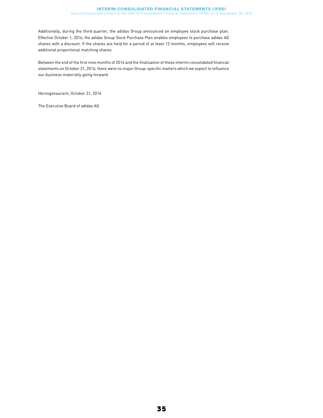Additionally, during the third quarter, the adidas Group announced an employee stock purchase plan. Effective October 1, 2016, the adidas Group Stock Purchase Plan enables employees to purchase adidas AG shares with a discount. If the shares are held for a period of at least 12 months, employees will receive additional proportional matching shares.

Between the end of the first nine months of 2016 and the finalisation of these interim consolidated financial statements on October 31, 2016, there were no major Group-specific matters which we expect to influence our business materially going forward.

Herzogenaurach, October 31, 2016

The Executive Board of adidas AG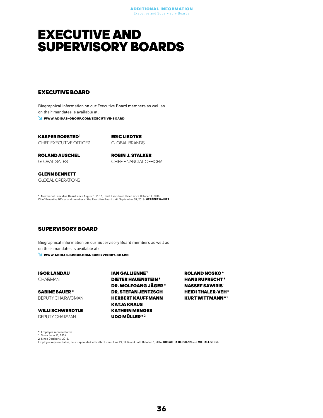### <span id="page-35-0"></span>EXECUTIVE AND SUPERVISORY BOARDS

#### EXECUTIVE BOARD

Biographical information on our Executive Board members as well as on their mandates is available at: WWW.ADIDAS-GROUP.COM/EXECUTIVE-BOARD

KASPER RORSTED 1 CHIEF EXECUTIVE OFFICER ERIC LIEDTKE GLOBAL BRANDS

ROLAND AUSCHEL GLOBAL SALES

ROBIN J. STALKER CHIEF FINANCIAL OFFICER

GLENN BENNETT GLOBAL OPERATIONS

**1** Member of Executive Board since August 1, 2016, Chief Executive Officer since October 1, 2016.<br>Chief Executive Officer and member of the Executive Board until September 30, 2016: **HERBERT HAINER**.

#### SUPERVISORY BOARD

Biographical information on our Supervisory Board members as well as on their mandates is available at:

WWW.ADIDAS-GROUP.COM/SUPERVISORY-BOARD

IGOR LANDAU **CHAIRMAN** 

SABINE BAUER\* DEPUTY CHAIRWOMAN

WILLI SCHWERDTLE DEPUTY CHAIRMAN

IAN GALLIENNE<sup>1</sup> DIETER HAUENSTEIN\* DR. WOLFGANG JÄGER\* DR. STEFAN JENTZSCH HERBERT KAUFFMANN KATJA KRAUS KATHRIN MENGES UDO MÜLLER\*2

ROLAND NOSKO\* HANS RUPRECHT\* **NASSEF SAWIRIS<sup>1</sup>** HEIDI THALER-VEH\* KURT WITTMANN\*2

\* Employee representative.

1 Since June 15, 2016. 2 Since October 6, 2016.

Employee representative, court-appointed with effect from June 24, 2016 and until October 6, 2016: ROSWITHA HERMANN and MICHAEL STORL.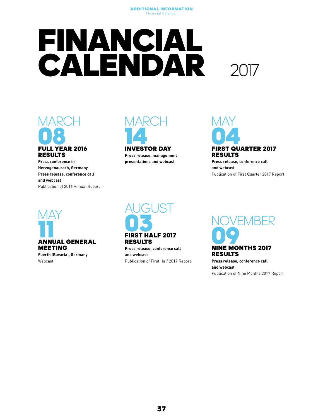#### Additional Information Financial Calendar

## <span id="page-36-0"></span>FINANCIAL **CALENDAR**





### RESULTS

Press conference in Herzogenaurach, Germany Press release, conference call and webcast Publication of 2016 Annual Report



Press release, management presentations and webcast



### RESULTS

Press release, conference call and webcast Publication of First Quarter 2017 Report



Webcast

### **AUGUST OS**<br>FIRST HALF 2017

RESULTS

Press release, conference call and webcast Publication of First Half 2017 Report



Press release, conference call and webcast Publication of Nine Months 2017 Report